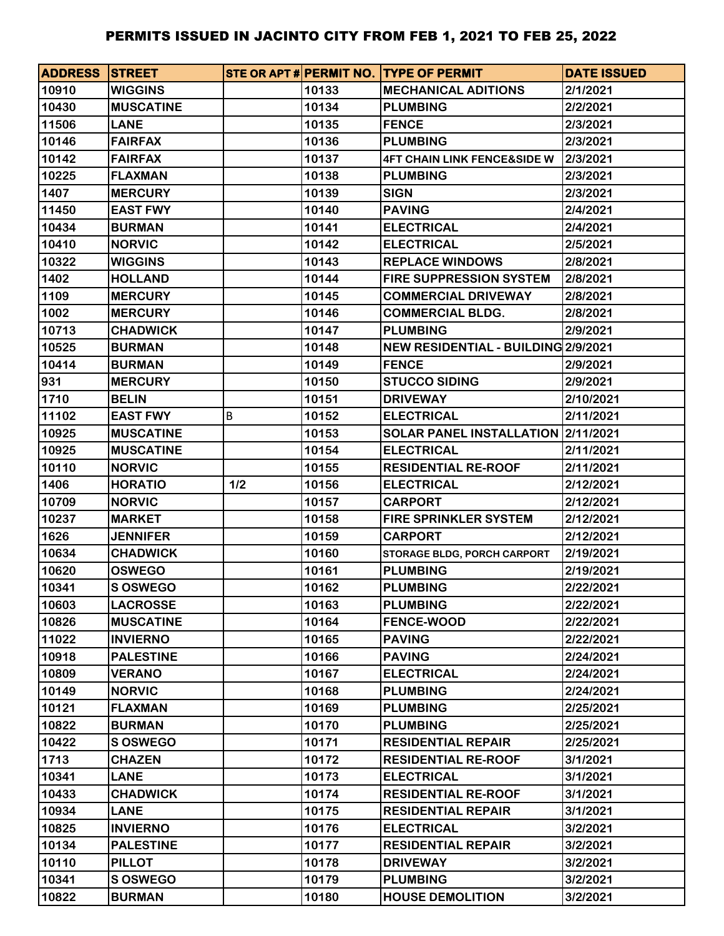| <b>ADDRESS STREET</b> |                  |     |       | STE OR APT # PERMIT NO. TYPE OF PERMIT | <b>DATE ISSUED</b> |
|-----------------------|------------------|-----|-------|----------------------------------------|--------------------|
| 10910                 | <b>WIGGINS</b>   |     | 10133 | <b>MECHANICAL ADITIONS</b>             | 2/1/2021           |
| 10430                 | <b>MUSCATINE</b> |     | 10134 | <b>PLUMBING</b>                        | 2/2/2021           |
| 11506                 | <b>LANE</b>      |     | 10135 | <b>FENCE</b>                           | 2/3/2021           |
| 10146                 | <b>FAIRFAX</b>   |     | 10136 | <b>PLUMBING</b>                        | 2/3/2021           |
| 10142                 | <b>FAIRFAX</b>   |     | 10137 | <b>4FT CHAIN LINK FENCE&amp;SIDE W</b> | 2/3/2021           |
| 10225                 | <b>FLAXMAN</b>   |     | 10138 | <b>PLUMBING</b>                        | 2/3/2021           |
| 1407                  | <b>MERCURY</b>   |     | 10139 | <b>SIGN</b>                            | 2/3/2021           |
| 11450                 | <b>EAST FWY</b>  |     | 10140 | <b>PAVING</b>                          | 2/4/2021           |
| 10434                 | <b>BURMAN</b>    |     | 10141 | <b>ELECTRICAL</b>                      | 2/4/2021           |
| 10410                 | <b>NORVIC</b>    |     | 10142 | <b>ELECTRICAL</b>                      | 2/5/2021           |
| 10322                 | <b>WIGGINS</b>   |     | 10143 | <b>REPLACE WINDOWS</b>                 | 2/8/2021           |
| 1402                  | <b>HOLLAND</b>   |     | 10144 | <b>FIRE SUPPRESSION SYSTEM</b>         | 2/8/2021           |
| 1109                  | <b>MERCURY</b>   |     | 10145 | <b>COMMERCIAL DRIVEWAY</b>             | 2/8/2021           |
| 1002                  | <b>MERCURY</b>   |     | 10146 | <b>COMMERCIAL BLDG.</b>                | 2/8/2021           |
| 10713                 | <b>CHADWICK</b>  |     | 10147 | <b>PLUMBING</b>                        | 2/9/2021           |
| 10525                 | <b>BURMAN</b>    |     | 10148 | NEW RESIDENTIAL - BUILDING 2/9/2021    |                    |
| 10414                 | <b>BURMAN</b>    |     | 10149 | <b>FENCE</b>                           | 2/9/2021           |
| 931                   | <b>MERCURY</b>   |     | 10150 | <b>STUCCO SIDING</b>                   | 2/9/2021           |
| 1710                  | <b>BELIN</b>     |     | 10151 | <b>DRIVEWAY</b>                        | 2/10/2021          |
| 11102                 | <b>EAST FWY</b>  | В   | 10152 | <b>ELECTRICAL</b>                      | 2/11/2021          |
| 10925                 | <b>MUSCATINE</b> |     | 10153 | SOLAR PANEL INSTALLATION 2/11/2021     |                    |
| 10925                 | <b>MUSCATINE</b> |     | 10154 | <b>ELECTRICAL</b>                      | 2/11/2021          |
| 10110                 | <b>NORVIC</b>    |     | 10155 | <b>RESIDENTIAL RE-ROOF</b>             | 2/11/2021          |
| 1406                  | <b>HORATIO</b>   | 1/2 | 10156 | <b>ELECTRICAL</b>                      | 2/12/2021          |
| 10709                 | <b>NORVIC</b>    |     | 10157 | <b>CARPORT</b>                         | 2/12/2021          |
| 10237                 | <b>MARKET</b>    |     | 10158 | <b>FIRE SPRINKLER SYSTEM</b>           | 2/12/2021          |
| 1626                  | <b>JENNIFER</b>  |     | 10159 | <b>CARPORT</b>                         | 2/12/2021          |
| 10634                 | <b>CHADWICK</b>  |     | 10160 | STORAGE BLDG, PORCH CARPORT            | 2/19/2021          |
| 10620                 | <b>OSWEGO</b>    |     | 10161 | <b>PLUMBING</b>                        | 2/19/2021          |
| 10341                 | <b>S OSWEGO</b>  |     | 10162 | <b>PLUMBING</b>                        | 2/22/2021          |
| 10603                 | <b>LACROSSE</b>  |     | 10163 | <b>PLUMBING</b>                        | 2/22/2021          |
| 10826                 | <b>MUSCATINE</b> |     | 10164 | <b>FENCE-WOOD</b>                      | 2/22/2021          |
| 11022                 | <b>INVIERNO</b>  |     | 10165 | <b>PAVING</b>                          | 2/22/2021          |
| 10918                 | <b>PALESTINE</b> |     | 10166 | <b>PAVING</b>                          | 2/24/2021          |
| 10809                 | <b>VERANO</b>    |     | 10167 | <b>ELECTRICAL</b>                      | 2/24/2021          |
| 10149                 | <b>NORVIC</b>    |     | 10168 | <b>PLUMBING</b>                        | 2/24/2021          |
| 10121                 | <b>FLAXMAN</b>   |     | 10169 | <b>PLUMBING</b>                        | 2/25/2021          |
| 10822                 | <b>BURMAN</b>    |     | 10170 | <b>PLUMBING</b>                        | 2/25/2021          |
| 10422                 | <b>S OSWEGO</b>  |     | 10171 | <b>RESIDENTIAL REPAIR</b>              | 2/25/2021          |
| 1713                  | <b>CHAZEN</b>    |     | 10172 | <b>RESIDENTIAL RE-ROOF</b>             | 3/1/2021           |
| 10341                 | <b>LANE</b>      |     | 10173 | <b>ELECTRICAL</b>                      | 3/1/2021           |
| 10433                 | <b>CHADWICK</b>  |     | 10174 | <b>RESIDENTIAL RE-ROOF</b>             | 3/1/2021           |
| 10934                 | <b>LANE</b>      |     | 10175 | <b>RESIDENTIAL REPAIR</b>              | 3/1/2021           |
| 10825                 | <b>INVIERNO</b>  |     | 10176 | <b>ELECTRICAL</b>                      | 3/2/2021           |
| 10134                 | <b>PALESTINE</b> |     | 10177 | <b>RESIDENTIAL REPAIR</b>              | 3/2/2021           |
| 10110                 | <b>PILLOT</b>    |     | 10178 | <b>DRIVEWAY</b>                        | 3/2/2021           |
| 10341                 | <b>S OSWEGO</b>  |     | 10179 | <b>PLUMBING</b>                        | 3/2/2021           |
| 10822                 | <b>BURMAN</b>    |     | 10180 | <b>HOUSE DEMOLITION</b>                | 3/2/2021           |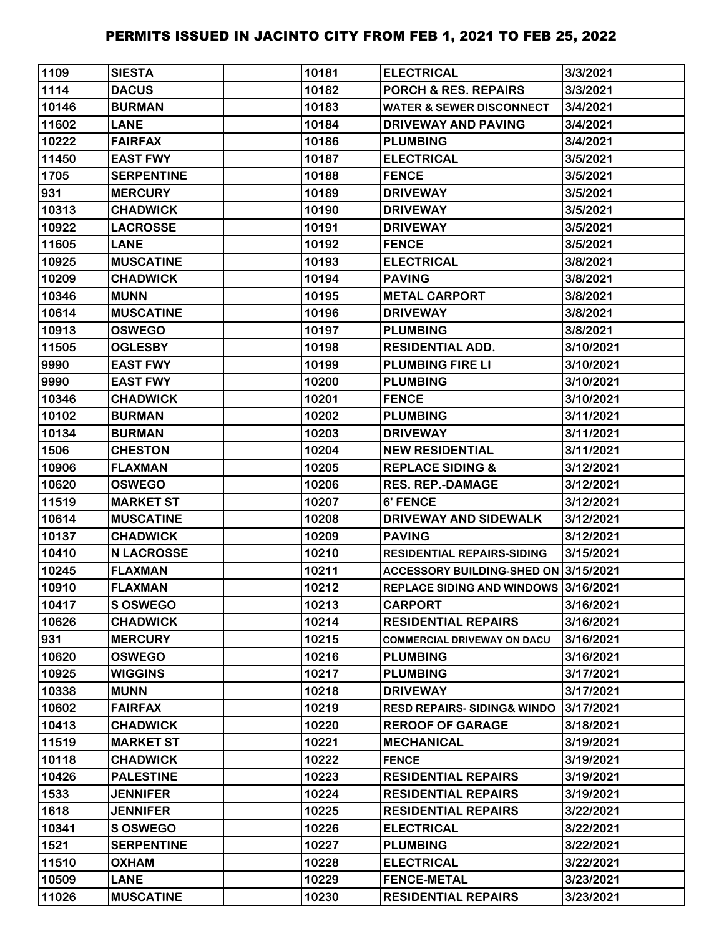| 1109  | <b>SIESTA</b>     | 10181 | <b>ELECTRICAL</b>                     | 3/3/2021  |
|-------|-------------------|-------|---------------------------------------|-----------|
| 1114  | <b>DACUS</b>      | 10182 | <b>PORCH &amp; RES. REPAIRS</b>       | 3/3/2021  |
| 10146 | <b>BURMAN</b>     | 10183 | <b>WATER &amp; SEWER DISCONNECT</b>   | 3/4/2021  |
| 11602 | <b>LANE</b>       | 10184 | <b>DRIVEWAY AND PAVING</b>            | 3/4/2021  |
| 10222 | <b>FAIRFAX</b>    | 10186 | <b>PLUMBING</b>                       | 3/4/2021  |
| 11450 | <b>EAST FWY</b>   | 10187 | <b>ELECTRICAL</b>                     | 3/5/2021  |
| 1705  | <b>SERPENTINE</b> | 10188 | <b>FENCE</b>                          | 3/5/2021  |
| 931   | <b>MERCURY</b>    | 10189 | <b>DRIVEWAY</b>                       | 3/5/2021  |
| 10313 | <b>CHADWICK</b>   | 10190 | <b>DRIVEWAY</b>                       | 3/5/2021  |
| 10922 | <b>LACROSSE</b>   | 10191 | <b>DRIVEWAY</b>                       | 3/5/2021  |
| 11605 | <b>LANE</b>       | 10192 | <b>FENCE</b>                          | 3/5/2021  |
| 10925 | <b>MUSCATINE</b>  | 10193 | <b>ELECTRICAL</b>                     | 3/8/2021  |
| 10209 | <b>CHADWICK</b>   | 10194 | <b>PAVING</b>                         | 3/8/2021  |
| 10346 | <b>MUNN</b>       | 10195 | <b>METAL CARPORT</b>                  | 3/8/2021  |
| 10614 | <b>MUSCATINE</b>  | 10196 | <b>DRIVEWAY</b>                       | 3/8/2021  |
| 10913 | <b>OSWEGO</b>     | 10197 | <b>PLUMBING</b>                       | 3/8/2021  |
| 11505 | <b>OGLESBY</b>    | 10198 | <b>RESIDENTIAL ADD.</b>               | 3/10/2021 |
| 9990  | <b>EAST FWY</b>   | 10199 | <b>PLUMBING FIRE LI</b>               | 3/10/2021 |
| 9990  | <b>EAST FWY</b>   | 10200 | <b>PLUMBING</b>                       | 3/10/2021 |
| 10346 | <b>CHADWICK</b>   | 10201 | <b>FENCE</b>                          | 3/10/2021 |
| 10102 | <b>BURMAN</b>     | 10202 | <b>PLUMBING</b>                       | 3/11/2021 |
| 10134 | <b>BURMAN</b>     | 10203 | <b>DRIVEWAY</b>                       | 3/11/2021 |
| 1506  | <b>CHESTON</b>    | 10204 | <b>NEW RESIDENTIAL</b>                | 3/11/2021 |
| 10906 | <b>FLAXMAN</b>    | 10205 | <b>REPLACE SIDING &amp;</b>           | 3/12/2021 |
| 10620 | <b>OSWEGO</b>     | 10206 | <b>RES. REP.-DAMAGE</b>               | 3/12/2021 |
| 11519 | <b>MARKET ST</b>  | 10207 | 6' FENCE                              | 3/12/2021 |
| 10614 | <b>MUSCATINE</b>  | 10208 | DRIVEWAY AND SIDEWALK                 | 3/12/2021 |
| 10137 | <b>CHADWICK</b>   | 10209 | <b>PAVING</b>                         | 3/12/2021 |
| 10410 | <b>N LACROSSE</b> | 10210 | <b>RESIDENTIAL REPAIRS-SIDING</b>     | 3/15/2021 |
| 10245 | <b>FLAXMAN</b>    | 10211 | ACCESSORY BUILDING-SHED ON 3/15/2021  |           |
| 10910 | <b>FLAXMAN</b>    | 10212 | REPLACE SIDING AND WINDOWS 3/16/2021  |           |
| 10417 | <b>S OSWEGO</b>   | 10213 | <b>CARPORT</b>                        | 3/16/2021 |
| 10626 | <b>CHADWICK</b>   | 10214 | <b>RESIDENTIAL REPAIRS</b>            | 3/16/2021 |
| 931   | <b>MERCURY</b>    | 10215 | <b>COMMERCIAL DRIVEWAY ON DACU</b>    | 3/16/2021 |
| 10620 | <b>OSWEGO</b>     | 10216 | <b>PLUMBING</b>                       | 3/16/2021 |
| 10925 | <b>WIGGINS</b>    | 10217 | <b>PLUMBING</b>                       | 3/17/2021 |
| 10338 | <b>MUNN</b>       | 10218 | <b>DRIVEWAY</b>                       | 3/17/2021 |
| 10602 | <b>FAIRFAX</b>    | 10219 | <b>RESD REPAIRS-SIDING&amp; WINDO</b> | 3/17/2021 |
| 10413 | <b>CHADWICK</b>   | 10220 | <b>REROOF OF GARAGE</b>               | 3/18/2021 |
| 11519 | <b>MARKET ST</b>  | 10221 | <b>MECHANICAL</b>                     | 3/19/2021 |
| 10118 | <b>CHADWICK</b>   | 10222 | <b>FENCE</b>                          | 3/19/2021 |
| 10426 | <b>PALESTINE</b>  | 10223 | <b>RESIDENTIAL REPAIRS</b>            | 3/19/2021 |
| 1533  | <b>JENNIFER</b>   | 10224 | <b>RESIDENTIAL REPAIRS</b>            | 3/19/2021 |
| 1618  | <b>JENNIFER</b>   | 10225 | <b>RESIDENTIAL REPAIRS</b>            | 3/22/2021 |
| 10341 | S OSWEGO          | 10226 | <b>ELECTRICAL</b>                     | 3/22/2021 |
| 1521  | <b>SERPENTINE</b> | 10227 | <b>PLUMBING</b>                       | 3/22/2021 |
| 11510 | <b>OXHAM</b>      | 10228 | <b>ELECTRICAL</b>                     | 3/22/2021 |
| 10509 | <b>LANE</b>       | 10229 | <b>FENCE-METAL</b>                    | 3/23/2021 |
| 11026 | <b>MUSCATINE</b>  | 10230 | <b>RESIDENTIAL REPAIRS</b>            | 3/23/2021 |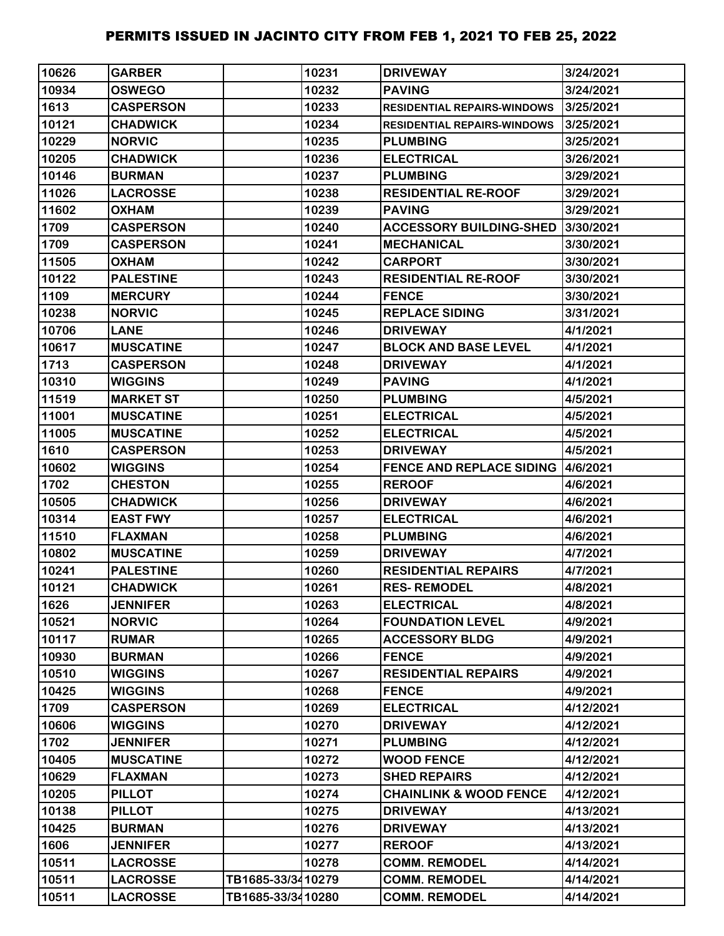| 10626 | <b>GARBER</b>    |                   | 10231 | <b>DRIVEWAY</b>                    | 3/24/2021 |
|-------|------------------|-------------------|-------|------------------------------------|-----------|
| 10934 | <b>OSWEGO</b>    |                   | 10232 | <b>PAVING</b>                      | 3/24/2021 |
| 1613  | <b>CASPERSON</b> |                   | 10233 | <b>RESIDENTIAL REPAIRS-WINDOWS</b> | 3/25/2021 |
| 10121 | <b>CHADWICK</b>  |                   | 10234 | <b>RESIDENTIAL REPAIRS-WINDOWS</b> | 3/25/2021 |
| 10229 | <b>NORVIC</b>    |                   | 10235 | <b>PLUMBING</b>                    | 3/25/2021 |
| 10205 | <b>CHADWICK</b>  |                   | 10236 | <b>ELECTRICAL</b>                  | 3/26/2021 |
| 10146 | <b>BURMAN</b>    |                   | 10237 | <b>PLUMBING</b>                    | 3/29/2021 |
| 11026 | <b>LACROSSE</b>  |                   | 10238 | <b>RESIDENTIAL RE-ROOF</b>         | 3/29/2021 |
| 11602 | <b>OXHAM</b>     |                   | 10239 | <b>PAVING</b>                      | 3/29/2021 |
| 1709  | <b>CASPERSON</b> |                   | 10240 | <b>ACCESSORY BUILDING-SHED</b>     | 3/30/2021 |
| 1709  | <b>CASPERSON</b> |                   | 10241 | <b>MECHANICAL</b>                  | 3/30/2021 |
| 11505 | <b>OXHAM</b>     |                   | 10242 | <b>CARPORT</b>                     | 3/30/2021 |
| 10122 | <b>PALESTINE</b> |                   | 10243 | <b>RESIDENTIAL RE-ROOF</b>         | 3/30/2021 |
| 1109  | <b>MERCURY</b>   |                   | 10244 | <b>FENCE</b>                       | 3/30/2021 |
| 10238 | <b>NORVIC</b>    |                   | 10245 | <b>REPLACE SIDING</b>              | 3/31/2021 |
| 10706 | <b>LANE</b>      |                   | 10246 | <b>DRIVEWAY</b>                    | 4/1/2021  |
| 10617 | <b>MUSCATINE</b> |                   | 10247 | <b>BLOCK AND BASE LEVEL</b>        | 4/1/2021  |
| 1713  | <b>CASPERSON</b> |                   | 10248 | <b>DRIVEWAY</b>                    | 4/1/2021  |
| 10310 | <b>WIGGINS</b>   |                   | 10249 | <b>PAVING</b>                      | 4/1/2021  |
| 11519 | <b>MARKET ST</b> |                   | 10250 | <b>PLUMBING</b>                    | 4/5/2021  |
| 11001 | <b>MUSCATINE</b> |                   | 10251 | <b>ELECTRICAL</b>                  | 4/5/2021  |
| 11005 | <b>MUSCATINE</b> |                   | 10252 | <b>ELECTRICAL</b>                  | 4/5/2021  |
| 1610  | <b>CASPERSON</b> |                   | 10253 | <b>DRIVEWAY</b>                    | 4/5/2021  |
| 10602 | <b>WIGGINS</b>   |                   | 10254 | <b>FENCE AND REPLACE SIDING</b>    | 4/6/2021  |
| 1702  | <b>CHESTON</b>   |                   | 10255 | <b>REROOF</b>                      | 4/6/2021  |
| 10505 | <b>CHADWICK</b>  |                   | 10256 | <b>DRIVEWAY</b>                    | 4/6/2021  |
| 10314 | <b>EAST FWY</b>  |                   | 10257 | <b>ELECTRICAL</b>                  | 4/6/2021  |
| 11510 | <b>FLAXMAN</b>   |                   | 10258 | <b>PLUMBING</b>                    | 4/6/2021  |
| 10802 | <b>MUSCATINE</b> |                   | 10259 | <b>DRIVEWAY</b>                    | 4/7/2021  |
| 10241 | <b>PALESTINE</b> |                   | 10260 | <b>RESIDENTIAL REPAIRS</b>         | 4/7/2021  |
| 10121 | <b>CHADWICK</b>  |                   | 10261 | <b>RES-REMODEL</b>                 | 4/8/2021  |
| 1626  | <b>JENNIFER</b>  |                   | 10263 | <b>ELECTRICAL</b>                  | 4/8/2021  |
| 10521 | <b>NORVIC</b>    |                   | 10264 | <b>FOUNDATION LEVEL</b>            | 4/9/2021  |
| 10117 | <b>RUMAR</b>     |                   | 10265 | <b>ACCESSORY BLDG</b>              | 4/9/2021  |
| 10930 | <b>BURMAN</b>    |                   | 10266 | <b>FENCE</b>                       | 4/9/2021  |
| 10510 | <b>WIGGINS</b>   |                   | 10267 | <b>RESIDENTIAL REPAIRS</b>         | 4/9/2021  |
| 10425 | <b>WIGGINS</b>   |                   | 10268 | <b>FENCE</b>                       | 4/9/2021  |
| 1709  | <b>CASPERSON</b> |                   | 10269 | <b>ELECTRICAL</b>                  | 4/12/2021 |
| 10606 | <b>WIGGINS</b>   |                   | 10270 | <b>DRIVEWAY</b>                    | 4/12/2021 |
| 1702  | <b>JENNIFER</b>  |                   | 10271 | <b>PLUMBING</b>                    | 4/12/2021 |
| 10405 | <b>MUSCATINE</b> |                   | 10272 | <b>WOOD FENCE</b>                  | 4/12/2021 |
| 10629 | <b>FLAXMAN</b>   |                   | 10273 | <b>SHED REPAIRS</b>                | 4/12/2021 |
| 10205 | <b>PILLOT</b>    |                   | 10274 | <b>CHAINLINK &amp; WOOD FENCE</b>  | 4/12/2021 |
| 10138 | <b>PILLOT</b>    |                   | 10275 | <b>DRIVEWAY</b>                    | 4/13/2021 |
| 10425 | <b>BURMAN</b>    |                   | 10276 | <b>DRIVEWAY</b>                    | 4/13/2021 |
| 1606  | <b>JENNIFER</b>  |                   | 10277 | <b>REROOF</b>                      | 4/13/2021 |
| 10511 | <b>LACROSSE</b>  |                   | 10278 | <b>COMM. REMODEL</b>               | 4/14/2021 |
| 10511 | <b>LACROSSE</b>  | TB1685-33/3410279 |       | <b>COMM. REMODEL</b>               | 4/14/2021 |
| 10511 | <b>LACROSSE</b>  | TB1685-33/3410280 |       | <b>COMM. REMODEL</b>               | 4/14/2021 |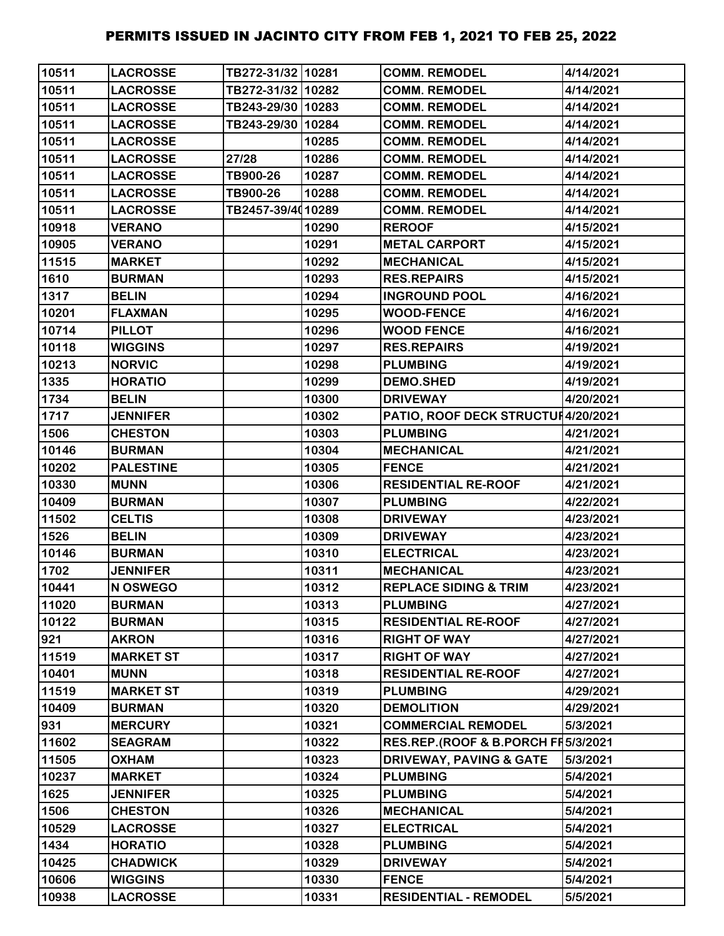| 10511 | <b>LACROSSE</b>  | TB272-31/32 10281 |       | <b>COMM. REMODEL</b>                | 4/14/2021 |
|-------|------------------|-------------------|-------|-------------------------------------|-----------|
| 10511 | <b>LACROSSE</b>  | TB272-31/32 10282 |       | <b>COMM. REMODEL</b>                | 4/14/2021 |
| 10511 | <b>LACROSSE</b>  | TB243-29/30 10283 |       | <b>COMM. REMODEL</b>                | 4/14/2021 |
| 10511 | <b>LACROSSE</b>  | TB243-29/30 10284 |       | <b>COMM. REMODEL</b>                | 4/14/2021 |
| 10511 | <b>LACROSSE</b>  |                   | 10285 | <b>COMM. REMODEL</b>                | 4/14/2021 |
| 10511 | <b>LACROSSE</b>  | 27/28             | 10286 | <b>COMM. REMODEL</b>                | 4/14/2021 |
| 10511 | <b>LACROSSE</b>  | TB900-26          | 10287 | <b>COMM. REMODEL</b>                | 4/14/2021 |
| 10511 | <b>LACROSSE</b>  | TB900-26          | 10288 | <b>COMM. REMODEL</b>                | 4/14/2021 |
| 10511 | <b>LACROSSE</b>  | TB2457-39/4010289 |       | <b>COMM. REMODEL</b>                | 4/14/2021 |
| 10918 | <b>VERANO</b>    |                   | 10290 | <b>REROOF</b>                       | 4/15/2021 |
| 10905 | <b>VERANO</b>    |                   | 10291 | <b>METAL CARPORT</b>                | 4/15/2021 |
| 11515 | <b>MARKET</b>    |                   | 10292 | <b>MECHANICAL</b>                   | 4/15/2021 |
| 1610  | <b>BURMAN</b>    |                   | 10293 | <b>RES.REPAIRS</b>                  | 4/15/2021 |
| 1317  | <b>BELIN</b>     |                   | 10294 | <b>INGROUND POOL</b>                | 4/16/2021 |
| 10201 | <b>FLAXMAN</b>   |                   | 10295 | <b>WOOD-FENCE</b>                   | 4/16/2021 |
| 10714 | <b>PILLOT</b>    |                   | 10296 | <b>WOOD FENCE</b>                   | 4/16/2021 |
| 10118 | <b>WIGGINS</b>   |                   | 10297 | <b>RES.REPAIRS</b>                  | 4/19/2021 |
| 10213 | <b>NORVIC</b>    |                   | 10298 | <b>PLUMBING</b>                     | 4/19/2021 |
| 1335  | <b>HORATIO</b>   |                   | 10299 | <b>DEMO.SHED</b>                    | 4/19/2021 |
| 1734  | <b>BELIN</b>     |                   | 10300 | <b>DRIVEWAY</b>                     | 4/20/2021 |
| 1717  | <b>JENNIFER</b>  |                   | 10302 | PATIO, ROOF DECK STRUCTUI4/20/2021  |           |
| 1506  | <b>CHESTON</b>   |                   | 10303 | <b>PLUMBING</b>                     | 4/21/2021 |
| 10146 | <b>BURMAN</b>    |                   | 10304 | <b>MECHANICAL</b>                   | 4/21/2021 |
| 10202 | <b>PALESTINE</b> |                   | 10305 | <b>FENCE</b>                        | 4/21/2021 |
| 10330 | <b>MUNN</b>      |                   | 10306 | <b>RESIDENTIAL RE-ROOF</b>          | 4/21/2021 |
| 10409 | <b>BURMAN</b>    |                   | 10307 | <b>PLUMBING</b>                     | 4/22/2021 |
| 11502 | <b>CELTIS</b>    |                   | 10308 | <b>DRIVEWAY</b>                     | 4/23/2021 |
| 1526  | <b>BELIN</b>     |                   | 10309 | <b>DRIVEWAY</b>                     | 4/23/2021 |
| 10146 | <b>BURMAN</b>    |                   | 10310 | <b>ELECTRICAL</b>                   | 4/23/2021 |
| 1702  | <b>JENNIFER</b>  |                   | 10311 | <b>MECHANICAL</b>                   | 4/23/2021 |
| 10441 | N OSWEGO         |                   | 10312 | <b>REPLACE SIDING &amp; TRIM</b>    | 4/23/2021 |
| 11020 | <b>BURMAN</b>    |                   | 10313 | <b>PLUMBING</b>                     | 4/27/2021 |
| 10122 | <b>BURMAN</b>    |                   | 10315 | <b>RESIDENTIAL RE-ROOF</b>          | 4/27/2021 |
| 921   | <b>AKRON</b>     |                   | 10316 | <b>RIGHT OF WAY</b>                 | 4/27/2021 |
| 11519 | <b>MARKET ST</b> |                   | 10317 | <b>RIGHT OF WAY</b>                 | 4/27/2021 |
| 10401 | <b>MUNN</b>      |                   | 10318 | <b>RESIDENTIAL RE-ROOF</b>          | 4/27/2021 |
| 11519 | <b>MARKET ST</b> |                   | 10319 | <b>PLUMBING</b>                     | 4/29/2021 |
| 10409 | <b>BURMAN</b>    |                   | 10320 | <b>DEMOLITION</b>                   | 4/29/2021 |
| 931   | <b>MERCURY</b>   |                   | 10321 | <b>COMMERCIAL REMODEL</b>           | 5/3/2021  |
| 11602 | <b>SEAGRAM</b>   |                   | 10322 | RES.REP.(ROOF & B.PORCH FF 5/3/2021 |           |
| 11505 | <b>OXHAM</b>     |                   | 10323 | <b>DRIVEWAY, PAVING &amp; GATE</b>  | 5/3/2021  |
| 10237 | <b>MARKET</b>    |                   | 10324 | <b>PLUMBING</b>                     | 5/4/2021  |
| 1625  | <b>JENNIFER</b>  |                   | 10325 | <b>PLUMBING</b>                     | 5/4/2021  |
| 1506  | <b>CHESTON</b>   |                   | 10326 | <b>MECHANICAL</b>                   | 5/4/2021  |
| 10529 | <b>LACROSSE</b>  |                   | 10327 | <b>ELECTRICAL</b>                   | 5/4/2021  |
| 1434  | <b>HORATIO</b>   |                   | 10328 | <b>PLUMBING</b>                     | 5/4/2021  |
| 10425 | <b>CHADWICK</b>  |                   | 10329 | <b>DRIVEWAY</b>                     | 5/4/2021  |
| 10606 | <b>WIGGINS</b>   |                   | 10330 | <b>FENCE</b>                        | 5/4/2021  |
| 10938 | <b>LACROSSE</b>  |                   | 10331 | <b>RESIDENTIAL - REMODEL</b>        | 5/5/2021  |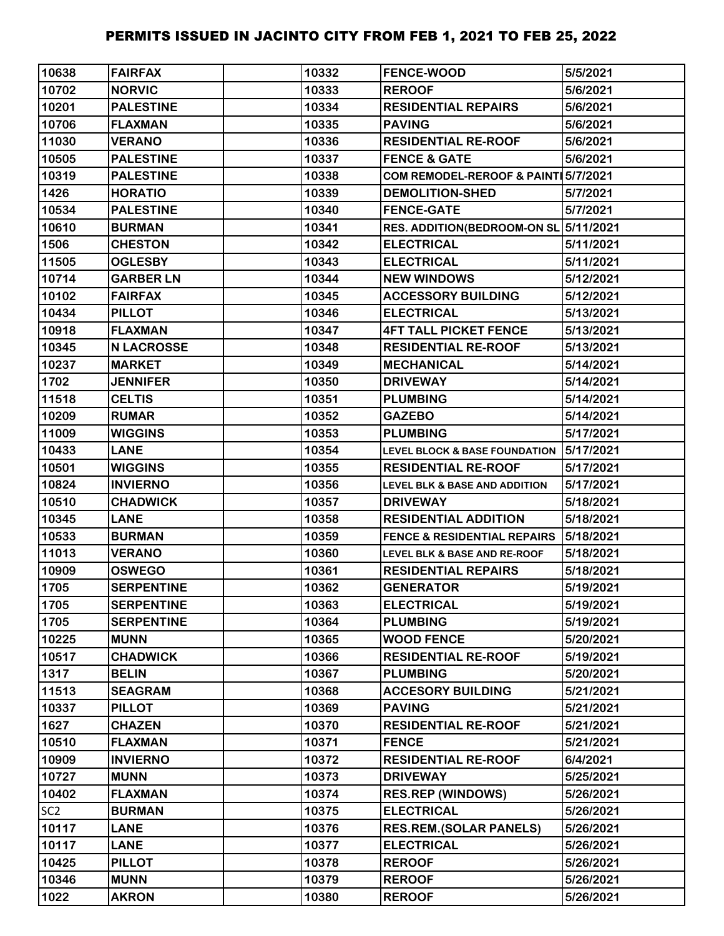| 10638           | <b>FAIRFAX</b>    | 10332 | <b>FENCE-WOOD</b>                        | 5/5/2021  |
|-----------------|-------------------|-------|------------------------------------------|-----------|
| 10702           | <b>NORVIC</b>     | 10333 | <b>REROOF</b>                            | 5/6/2021  |
| 10201           | <b>PALESTINE</b>  | 10334 | <b>RESIDENTIAL REPAIRS</b>               | 5/6/2021  |
| 10706           | <b>FLAXMAN</b>    | 10335 | <b>PAVING</b>                            | 5/6/2021  |
| 11030           | <b>VERANO</b>     | 10336 | <b>RESIDENTIAL RE-ROOF</b>               | 5/6/2021  |
| 10505           | <b>PALESTINE</b>  | 10337 | <b>FENCE &amp; GATE</b>                  | 5/6/2021  |
| 10319           | <b>PALESTINE</b>  | 10338 | COM REMODEL-REROOF & PAINT 5/7/2021      |           |
| 1426            | <b>HORATIO</b>    | 10339 | <b>DEMOLITION-SHED</b>                   | 5/7/2021  |
| 10534           | <b>PALESTINE</b>  | 10340 | <b>FENCE-GATE</b>                        | 5/7/2021  |
| 10610           | <b>BURMAN</b>     | 10341 | RES. ADDITION(BEDROOM-ON SL 5/11/2021    |           |
| 1506            | <b>CHESTON</b>    | 10342 | <b>ELECTRICAL</b>                        | 5/11/2021 |
| 11505           | <b>OGLESBY</b>    | 10343 | <b>ELECTRICAL</b>                        | 5/11/2021 |
| 10714           | <b>GARBER LN</b>  | 10344 | <b>NEW WINDOWS</b>                       | 5/12/2021 |
| 10102           | <b>FAIRFAX</b>    | 10345 | <b>ACCESSORY BUILDING</b>                | 5/12/2021 |
| 10434           | <b>PILLOT</b>     | 10346 | <b>ELECTRICAL</b>                        | 5/13/2021 |
| 10918           | <b>FLAXMAN</b>    | 10347 | <b>4FT TALL PICKET FENCE</b>             | 5/13/2021 |
| 10345           | <b>N LACROSSE</b> | 10348 | <b>RESIDENTIAL RE-ROOF</b>               | 5/13/2021 |
| 10237           | <b>MARKET</b>     | 10349 | <b>MECHANICAL</b>                        | 5/14/2021 |
| 1702            | <b>JENNIFER</b>   | 10350 | <b>DRIVEWAY</b>                          | 5/14/2021 |
| 11518           | <b>CELTIS</b>     | 10351 | <b>PLUMBING</b>                          | 5/14/2021 |
| 10209           | <b>RUMAR</b>      | 10352 | <b>GAZEBO</b>                            | 5/14/2021 |
| 11009           | <b>WIGGINS</b>    | 10353 | <b>PLUMBING</b>                          | 5/17/2021 |
| 10433           | <b>LANE</b>       | 10354 | <b>LEVEL BLOCK &amp; BASE FOUNDATION</b> | 5/17/2021 |
| 10501           | <b>WIGGINS</b>    | 10355 | <b>RESIDENTIAL RE-ROOF</b>               | 5/17/2021 |
| 10824           | <b>INVIERNO</b>   | 10356 | <b>LEVEL BLK &amp; BASE AND ADDITION</b> | 5/17/2021 |
| 10510           | <b>CHADWICK</b>   | 10357 | <b>DRIVEWAY</b>                          | 5/18/2021 |
| 10345           | <b>LANE</b>       | 10358 | <b>RESIDENTIAL ADDITION</b>              | 5/18/2021 |
| 10533           | <b>BURMAN</b>     | 10359 | <b>FENCE &amp; RESIDENTIAL REPAIRS</b>   | 5/18/2021 |
| 11013           | <b>VERANO</b>     | 10360 | LEVEL BLK & BASE AND RE-ROOF             | 5/18/2021 |
| 10909           | <b>OSWEGO</b>     | 10361 | <b>RESIDENTIAL REPAIRS</b>               | 5/18/2021 |
| 1705            | <b>SERPENTINE</b> | 10362 | <b>GENERATOR</b>                         | 5/19/2021 |
| 1705            | <b>SERPENTINE</b> | 10363 | <b>ELECTRICAL</b>                        | 5/19/2021 |
| 1705            | <b>SERPENTINE</b> | 10364 | <b>PLUMBING</b>                          | 5/19/2021 |
| 10225           | <b>MUNN</b>       | 10365 | <b>WOOD FENCE</b>                        | 5/20/2021 |
| 10517           | <b>CHADWICK</b>   | 10366 | <b>RESIDENTIAL RE-ROOF</b>               | 5/19/2021 |
| 1317            | <b>BELIN</b>      | 10367 | <b>PLUMBING</b>                          | 5/20/2021 |
| 11513           | <b>SEAGRAM</b>    | 10368 | <b>ACCESORY BUILDING</b>                 | 5/21/2021 |
| 10337           | <b>PILLOT</b>     | 10369 | <b>PAVING</b>                            | 5/21/2021 |
| 1627            | <b>CHAZEN</b>     | 10370 | <b>RESIDENTIAL RE-ROOF</b>               | 5/21/2021 |
| 10510           | <b>FLAXMAN</b>    | 10371 | <b>FENCE</b>                             | 5/21/2021 |
| 10909           | <b>INVIERNO</b>   | 10372 | <b>RESIDENTIAL RE-ROOF</b>               | 6/4/2021  |
| 10727           | <b>MUNN</b>       | 10373 | <b>DRIVEWAY</b>                          | 5/25/2021 |
| 10402           | <b>FLAXMAN</b>    | 10374 | <b>RES.REP (WINDOWS)</b>                 | 5/26/2021 |
| SC <sub>2</sub> | <b>BURMAN</b>     | 10375 | <b>ELECTRICAL</b>                        | 5/26/2021 |
| 10117           | <b>LANE</b>       | 10376 | <b>RES.REM.(SOLAR PANELS)</b>            | 5/26/2021 |
| 10117           | <b>LANE</b>       | 10377 | <b>ELECTRICAL</b>                        | 5/26/2021 |
| 10425           | <b>PILLOT</b>     | 10378 | <b>REROOF</b>                            | 5/26/2021 |
| 10346           | <b>MUNN</b>       | 10379 | <b>REROOF</b>                            | 5/26/2021 |
| 1022            | <b>AKRON</b>      | 10380 | <b>REROOF</b>                            | 5/26/2021 |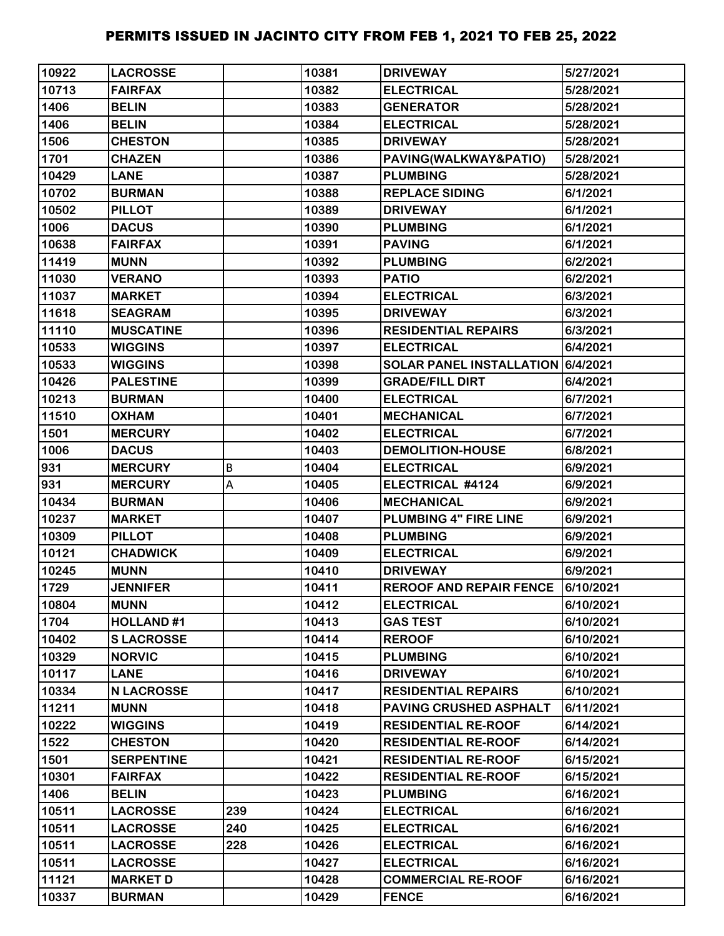| 10922 | <b>LACROSSE</b>   |     | 10381 | <b>DRIVEWAY</b>                   | 5/27/2021 |
|-------|-------------------|-----|-------|-----------------------------------|-----------|
| 10713 | <b>FAIRFAX</b>    |     | 10382 | <b>ELECTRICAL</b>                 | 5/28/2021 |
| 1406  | <b>BELIN</b>      |     | 10383 | <b>GENERATOR</b>                  | 5/28/2021 |
| 1406  | <b>BELIN</b>      |     | 10384 | <b>ELECTRICAL</b>                 | 5/28/2021 |
| 1506  | <b>CHESTON</b>    |     | 10385 | <b>DRIVEWAY</b>                   | 5/28/2021 |
| 1701  | <b>CHAZEN</b>     |     | 10386 | PAVING(WALKWAY&PATIO)             | 5/28/2021 |
| 10429 | <b>LANE</b>       |     | 10387 | <b>PLUMBING</b>                   | 5/28/2021 |
| 10702 | <b>BURMAN</b>     |     | 10388 | <b>REPLACE SIDING</b>             | 6/1/2021  |
| 10502 | <b>PILLOT</b>     |     | 10389 | <b>DRIVEWAY</b>                   | 6/1/2021  |
| 1006  | <b>DACUS</b>      |     | 10390 | <b>PLUMBING</b>                   | 6/1/2021  |
| 10638 | <b>FAIRFAX</b>    |     | 10391 | <b>PAVING</b>                     | 6/1/2021  |
| 11419 | <b>MUNN</b>       |     | 10392 | <b>PLUMBING</b>                   | 6/2/2021  |
| 11030 | <b>VERANO</b>     |     | 10393 | <b>PATIO</b>                      | 6/2/2021  |
| 11037 | <b>MARKET</b>     |     | 10394 | <b>ELECTRICAL</b>                 | 6/3/2021  |
| 11618 | <b>SEAGRAM</b>    |     | 10395 | <b>DRIVEWAY</b>                   | 6/3/2021  |
| 11110 | <b>MUSCATINE</b>  |     | 10396 | <b>RESIDENTIAL REPAIRS</b>        | 6/3/2021  |
| 10533 | <b>WIGGINS</b>    |     | 10397 | <b>ELECTRICAL</b>                 | 6/4/2021  |
| 10533 | <b>WIGGINS</b>    |     | 10398 | SOLAR PANEL INSTALLATION 6/4/2021 |           |
| 10426 | <b>PALESTINE</b>  |     | 10399 | <b>GRADE/FILL DIRT</b>            | 6/4/2021  |
| 10213 | <b>BURMAN</b>     |     | 10400 | <b>ELECTRICAL</b>                 | 6/7/2021  |
| 11510 | <b>OXHAM</b>      |     | 10401 | <b>MECHANICAL</b>                 | 6/7/2021  |
| 1501  | <b>MERCURY</b>    |     | 10402 | <b>ELECTRICAL</b>                 | 6/7/2021  |
| 1006  | <b>DACUS</b>      |     | 10403 | <b>DEMOLITION-HOUSE</b>           | 6/8/2021  |
| 931   | <b>MERCURY</b>    | B   | 10404 | <b>ELECTRICAL</b>                 | 6/9/2021  |
| 931   | <b>MERCURY</b>    | A   | 10405 | ELECTRICAL #4124                  | 6/9/2021  |
| 10434 | <b>BURMAN</b>     |     | 10406 | <b>MECHANICAL</b>                 | 6/9/2021  |
| 10237 | <b>MARKET</b>     |     | 10407 | PLUMBING 4" FIRE LINE             | 6/9/2021  |
| 10309 | <b>PILLOT</b>     |     | 10408 | <b>PLUMBING</b>                   | 6/9/2021  |
| 10121 | <b>CHADWICK</b>   |     | 10409 | <b>ELECTRICAL</b>                 | 6/9/2021  |
| 10245 | <b>MUNN</b>       |     | 10410 | <b>DRIVEWAY</b>                   | 6/9/2021  |
| 1729  | <b>JENNIFER</b>   |     | 10411 | <b>REROOF AND REPAIR FENCE</b>    | 6/10/2021 |
| 10804 | <b>MUNN</b>       |     | 10412 | <b>ELECTRICAL</b>                 | 6/10/2021 |
| 1704  | <b>HOLLAND#1</b>  |     | 10413 | <b>GAS TEST</b>                   | 6/10/2021 |
| 10402 | <b>SLACROSSE</b>  |     | 10414 | <b>REROOF</b>                     | 6/10/2021 |
| 10329 | <b>NORVIC</b>     |     | 10415 | <b>PLUMBING</b>                   | 6/10/2021 |
| 10117 | <b>LANE</b>       |     | 10416 | <b>DRIVEWAY</b>                   | 6/10/2021 |
| 10334 | <b>N LACROSSE</b> |     | 10417 | <b>RESIDENTIAL REPAIRS</b>        | 6/10/2021 |
| 11211 | <b>MUNN</b>       |     | 10418 | <b>PAVING CRUSHED ASPHALT</b>     | 6/11/2021 |
| 10222 | <b>WIGGINS</b>    |     | 10419 | <b>RESIDENTIAL RE-ROOF</b>        | 6/14/2021 |
| 1522  | <b>CHESTON</b>    |     | 10420 | <b>RESIDENTIAL RE-ROOF</b>        | 6/14/2021 |
| 1501  | <b>SERPENTINE</b> |     | 10421 | <b>RESIDENTIAL RE-ROOF</b>        | 6/15/2021 |
| 10301 | <b>FAIRFAX</b>    |     | 10422 | <b>RESIDENTIAL RE-ROOF</b>        | 6/15/2021 |
| 1406  | <b>BELIN</b>      |     | 10423 | <b>PLUMBING</b>                   | 6/16/2021 |
| 10511 | <b>LACROSSE</b>   | 239 | 10424 | <b>ELECTRICAL</b>                 | 6/16/2021 |
| 10511 | <b>LACROSSE</b>   | 240 | 10425 | <b>ELECTRICAL</b>                 | 6/16/2021 |
| 10511 | <b>LACROSSE</b>   | 228 | 10426 | <b>ELECTRICAL</b>                 | 6/16/2021 |
| 10511 | <b>LACROSSE</b>   |     | 10427 | <b>ELECTRICAL</b>                 | 6/16/2021 |
| 11121 | <b>MARKET D</b>   |     | 10428 | <b>COMMERCIAL RE-ROOF</b>         | 6/16/2021 |
| 10337 | <b>BURMAN</b>     |     | 10429 | <b>FENCE</b>                      | 6/16/2021 |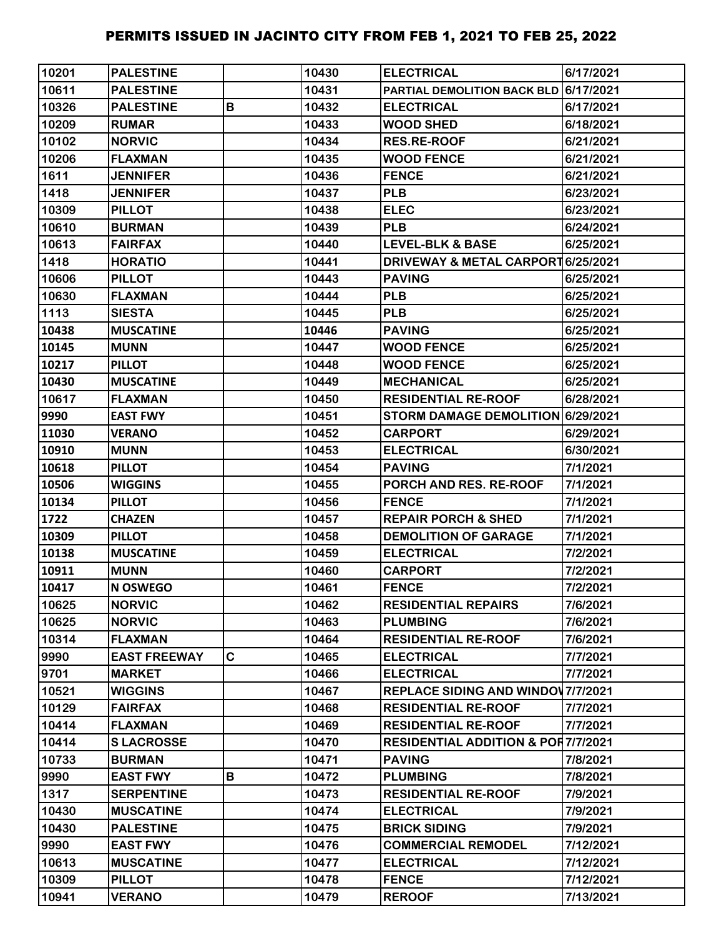| 10201 | <b>PALESTINE</b>    |   | 10430 | <b>ELECTRICAL</b>                             | 6/17/2021 |
|-------|---------------------|---|-------|-----------------------------------------------|-----------|
| 10611 | <b>PALESTINE</b>    |   | 10431 | PARTIAL DEMOLITION BACK BLD 6/17/2021         |           |
| 10326 | <b>PALESTINE</b>    | B | 10432 | <b>ELECTRICAL</b>                             | 6/17/2021 |
| 10209 | <b>RUMAR</b>        |   | 10433 | <b>WOOD SHED</b>                              | 6/18/2021 |
| 10102 | <b>NORVIC</b>       |   | 10434 | <b>RES.RE-ROOF</b>                            | 6/21/2021 |
| 10206 | <b>FLAXMAN</b>      |   | 10435 | <b>WOOD FENCE</b>                             | 6/21/2021 |
| 1611  | <b>JENNIFER</b>     |   | 10436 | <b>FENCE</b>                                  | 6/21/2021 |
| 1418  | <b>JENNIFER</b>     |   | 10437 | <b>PLB</b>                                    | 6/23/2021 |
| 10309 | <b>PILLOT</b>       |   | 10438 | <b>ELEC</b>                                   | 6/23/2021 |
| 10610 | <b>BURMAN</b>       |   | 10439 | <b>PLB</b>                                    | 6/24/2021 |
| 10613 | <b>FAIRFAX</b>      |   | 10440 | <b>LEVEL-BLK &amp; BASE</b>                   | 6/25/2021 |
| 1418  | <b>HORATIO</b>      |   | 10441 | DRIVEWAY & METAL CARPORT 6/25/2021            |           |
| 10606 | <b>PILLOT</b>       |   | 10443 | <b>PAVING</b>                                 | 6/25/2021 |
| 10630 | <b>FLAXMAN</b>      |   | 10444 | <b>PLB</b>                                    | 6/25/2021 |
| 1113  | <b>SIESTA</b>       |   | 10445 | <b>PLB</b>                                    | 6/25/2021 |
| 10438 | <b>MUSCATINE</b>    |   | 10446 | <b>PAVING</b>                                 | 6/25/2021 |
| 10145 | <b>MUNN</b>         |   | 10447 | <b>WOOD FENCE</b>                             | 6/25/2021 |
| 10217 | <b>PILLOT</b>       |   | 10448 | <b>WOOD FENCE</b>                             | 6/25/2021 |
| 10430 | <b>MUSCATINE</b>    |   | 10449 | <b>MECHANICAL</b>                             | 6/25/2021 |
| 10617 | <b>FLAXMAN</b>      |   | 10450 | <b>RESIDENTIAL RE-ROOF</b>                    | 6/28/2021 |
| 9990  | <b>EAST FWY</b>     |   | 10451 | STORM DAMAGE DEMOLITION 6/29/2021             |           |
| 11030 | <b>VERANO</b>       |   | 10452 | <b>CARPORT</b>                                | 6/29/2021 |
| 10910 | <b>MUNN</b>         |   | 10453 | <b>ELECTRICAL</b>                             | 6/30/2021 |
| 10618 | <b>PILLOT</b>       |   | 10454 | <b>PAVING</b>                                 | 7/1/2021  |
| 10506 | <b>WIGGINS</b>      |   | 10455 | PORCH AND RES. RE-ROOF                        | 7/1/2021  |
| 10134 | <b>PILLOT</b>       |   | 10456 | <b>FENCE</b>                                  | 7/1/2021  |
| 1722  | <b>CHAZEN</b>       |   | 10457 | <b>REPAIR PORCH &amp; SHED</b>                | 7/1/2021  |
| 10309 | <b>PILLOT</b>       |   | 10458 | <b>DEMOLITION OF GARAGE</b>                   | 7/1/2021  |
| 10138 | <b>MUSCATINE</b>    |   | 10459 | <b>ELECTRICAL</b>                             | 7/2/2021  |
| 10911 | <b>MUNN</b>         |   | 10460 | <b>CARPORT</b>                                | 7/2/2021  |
| 10417 | <b>N OSWEGO</b>     |   | 10461 | <b>FENCE</b>                                  | 7/2/2021  |
| 10625 | <b>NORVIC</b>       |   | 10462 | <b>RESIDENTIAL REPAIRS</b>                    | 7/6/2021  |
| 10625 | <b>NORVIC</b>       |   | 10463 | <b>PLUMBING</b>                               | 7/6/2021  |
| 10314 | <b>FLAXMAN</b>      |   | 10464 | <b>RESIDENTIAL RE-ROOF</b>                    | 7/6/2021  |
| 9990  | <b>EAST FREEWAY</b> | C | 10465 | <b>ELECTRICAL</b>                             | 7/7/2021  |
| 9701  | <b>MARKET</b>       |   | 10466 | <b>ELECTRICAL</b>                             | 7/7/2021  |
| 10521 | <b>WIGGINS</b>      |   | 10467 | REPLACE SIDING AND WINDOW 7/7/2021            |           |
| 10129 | <b>FAIRFAX</b>      |   | 10468 | <b>RESIDENTIAL RE-ROOF</b>                    | 7/7/2021  |
| 10414 | <b>FLAXMAN</b>      |   | 10469 | <b>RESIDENTIAL RE-ROOF</b>                    | 7/7/2021  |
| 10414 | <b>SLACROSSE</b>    |   | 10470 | <b>RESIDENTIAL ADDITION &amp; POR7/7/2021</b> |           |
| 10733 | <b>BURMAN</b>       |   | 10471 | <b>PAVING</b>                                 | 7/8/2021  |
| 9990  | <b>EAST FWY</b>     | В | 10472 | <b>PLUMBING</b>                               | 7/8/2021  |
| 1317  | <b>SERPENTINE</b>   |   | 10473 | <b>RESIDENTIAL RE-ROOF</b>                    | 7/9/2021  |
| 10430 | <b>MUSCATINE</b>    |   | 10474 | <b>ELECTRICAL</b>                             | 7/9/2021  |
| 10430 | <b>PALESTINE</b>    |   | 10475 | <b>BRICK SIDING</b>                           | 7/9/2021  |
| 9990  | <b>EAST FWY</b>     |   | 10476 | <b>COMMERCIAL REMODEL</b>                     | 7/12/2021 |
| 10613 | <b>MUSCATINE</b>    |   | 10477 | <b>ELECTRICAL</b>                             | 7/12/2021 |
| 10309 | <b>PILLOT</b>       |   | 10478 | <b>FENCE</b>                                  | 7/12/2021 |
| 10941 | <b>VERANO</b>       |   | 10479 | <b>REROOF</b>                                 | 7/13/2021 |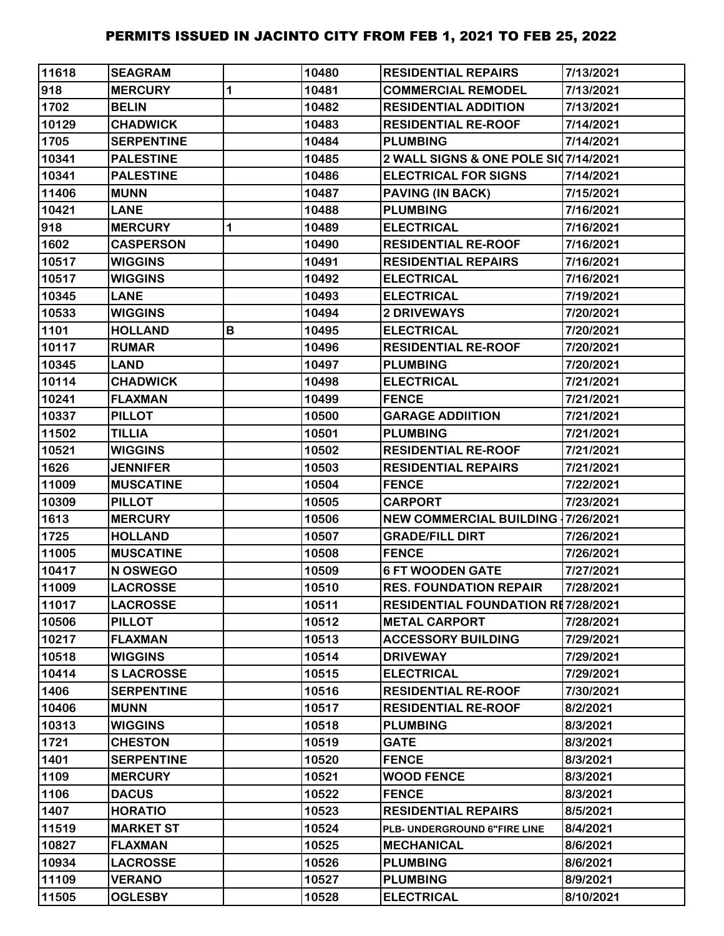| 11618 | <b>SEAGRAM</b>    |   | 10480 | <b>RESIDENTIAL REPAIRS</b>                | 7/13/2021 |
|-------|-------------------|---|-------|-------------------------------------------|-----------|
| 918   | <b>MERCURY</b>    | 1 | 10481 | <b>COMMERCIAL REMODEL</b>                 | 7/13/2021 |
| 1702  | <b>BELIN</b>      |   | 10482 | <b>RESIDENTIAL ADDITION</b>               | 7/13/2021 |
| 10129 | <b>CHADWICK</b>   |   | 10483 | <b>RESIDENTIAL RE-ROOF</b>                | 7/14/2021 |
| 1705  | <b>SERPENTINE</b> |   | 10484 | <b>PLUMBING</b>                           | 7/14/2021 |
| 10341 | <b>PALESTINE</b>  |   | 10485 | 2 WALL SIGNS & ONE POLE SI07/14/2021      |           |
| 10341 | <b>PALESTINE</b>  |   | 10486 | <b>ELECTRICAL FOR SIGNS</b>               | 7/14/2021 |
| 11406 | <b>MUNN</b>       |   | 10487 | <b>PAVING (IN BACK)</b>                   | 7/15/2021 |
| 10421 | <b>LANE</b>       |   | 10488 | <b>PLUMBING</b>                           | 7/16/2021 |
| 918   | <b>MERCURY</b>    | 1 | 10489 | <b>ELECTRICAL</b>                         | 7/16/2021 |
| 1602  | <b>CASPERSON</b>  |   | 10490 | <b>RESIDENTIAL RE-ROOF</b>                | 7/16/2021 |
| 10517 | <b>WIGGINS</b>    |   | 10491 | <b>RESIDENTIAL REPAIRS</b>                | 7/16/2021 |
| 10517 | <b>WIGGINS</b>    |   | 10492 | <b>ELECTRICAL</b>                         | 7/16/2021 |
| 10345 | <b>LANE</b>       |   | 10493 | <b>ELECTRICAL</b>                         | 7/19/2021 |
| 10533 | <b>WIGGINS</b>    |   | 10494 | 2 DRIVEWAYS                               | 7/20/2021 |
| 1101  | <b>HOLLAND</b>    | В | 10495 | <b>ELECTRICAL</b>                         | 7/20/2021 |
| 10117 | <b>RUMAR</b>      |   | 10496 | <b>RESIDENTIAL RE-ROOF</b>                | 7/20/2021 |
| 10345 | <b>LAND</b>       |   | 10497 | <b>PLUMBING</b>                           | 7/20/2021 |
| 10114 | <b>CHADWICK</b>   |   | 10498 | <b>ELECTRICAL</b>                         | 7/21/2021 |
| 10241 | <b>FLAXMAN</b>    |   | 10499 | <b>FENCE</b>                              | 7/21/2021 |
| 10337 | <b>PILLOT</b>     |   | 10500 | <b>GARAGE ADDIITION</b>                   | 7/21/2021 |
| 11502 | <b>TILLIA</b>     |   | 10501 | <b>PLUMBING</b>                           | 7/21/2021 |
| 10521 | <b>WIGGINS</b>    |   | 10502 | <b>RESIDENTIAL RE-ROOF</b>                | 7/21/2021 |
| 1626  | <b>JENNIFER</b>   |   | 10503 | <b>RESIDENTIAL REPAIRS</b>                | 7/21/2021 |
| 11009 | <b>MUSCATINE</b>  |   | 10504 | <b>FENCE</b>                              | 7/22/2021 |
| 10309 | <b>PILLOT</b>     |   | 10505 | <b>CARPORT</b>                            | 7/23/2021 |
| 1613  | <b>MERCURY</b>    |   | 10506 | <b>NEW COMMERCIAL BUILDING 17/26/2021</b> |           |
| 1725  | <b>HOLLAND</b>    |   | 10507 | <b>GRADE/FILL DIRT</b>                    | 7/26/2021 |
| 11005 | <b>MUSCATINE</b>  |   | 10508 | <b>FENCE</b>                              | 7/26/2021 |
| 10417 | N OSWEGO          |   | 10509 | <b>6 FT WOODEN GATE</b>                   | 7/27/2021 |
| 11009 | <b>LACROSSE</b>   |   | 10510 | <b>RES. FOUNDATION REPAIR</b>             | 7/28/2021 |
| 11017 | <b>LACROSSE</b>   |   | 10511 | <b>RESIDENTIAL FOUNDATION RE7/28/2021</b> |           |
| 10506 | <b>PILLOT</b>     |   | 10512 | <b>METAL CARPORT</b>                      | 7/28/2021 |
| 10217 | <b>FLAXMAN</b>    |   | 10513 | <b>ACCESSORY BUILDING</b>                 | 7/29/2021 |
| 10518 | <b>WIGGINS</b>    |   | 10514 | <b>DRIVEWAY</b>                           | 7/29/2021 |
| 10414 | <b>SLACROSSE</b>  |   | 10515 | <b>ELECTRICAL</b>                         | 7/29/2021 |
| 1406  | <b>SERPENTINE</b> |   | 10516 | <b>RESIDENTIAL RE-ROOF</b>                | 7/30/2021 |
| 10406 | <b>MUNN</b>       |   | 10517 | <b>RESIDENTIAL RE-ROOF</b>                | 8/2/2021  |
| 10313 | <b>WIGGINS</b>    |   | 10518 | <b>PLUMBING</b>                           | 8/3/2021  |
| 1721  | <b>CHESTON</b>    |   | 10519 | <b>GATE</b>                               | 8/3/2021  |
| 1401  | <b>SERPENTINE</b> |   | 10520 | <b>FENCE</b>                              | 8/3/2021  |
| 1109  | <b>MERCURY</b>    |   | 10521 | <b>WOOD FENCE</b>                         | 8/3/2021  |
| 1106  | <b>DACUS</b>      |   | 10522 | <b>FENCE</b>                              | 8/3/2021  |
| 1407  | <b>HORATIO</b>    |   | 10523 | <b>RESIDENTIAL REPAIRS</b>                | 8/5/2021  |
| 11519 | <b>MARKET ST</b>  |   | 10524 | PLB- UNDERGROUND 6"FIRE LINE              | 8/4/2021  |
| 10827 | <b>FLAXMAN</b>    |   | 10525 | <b>MECHANICAL</b>                         | 8/6/2021  |
| 10934 | <b>LACROSSE</b>   |   | 10526 | <b>PLUMBING</b>                           | 8/6/2021  |
| 11109 | <b>VERANO</b>     |   | 10527 | <b>PLUMBING</b>                           | 8/9/2021  |
| 11505 | <b>OGLESBY</b>    |   | 10528 | <b>ELECTRICAL</b>                         | 8/10/2021 |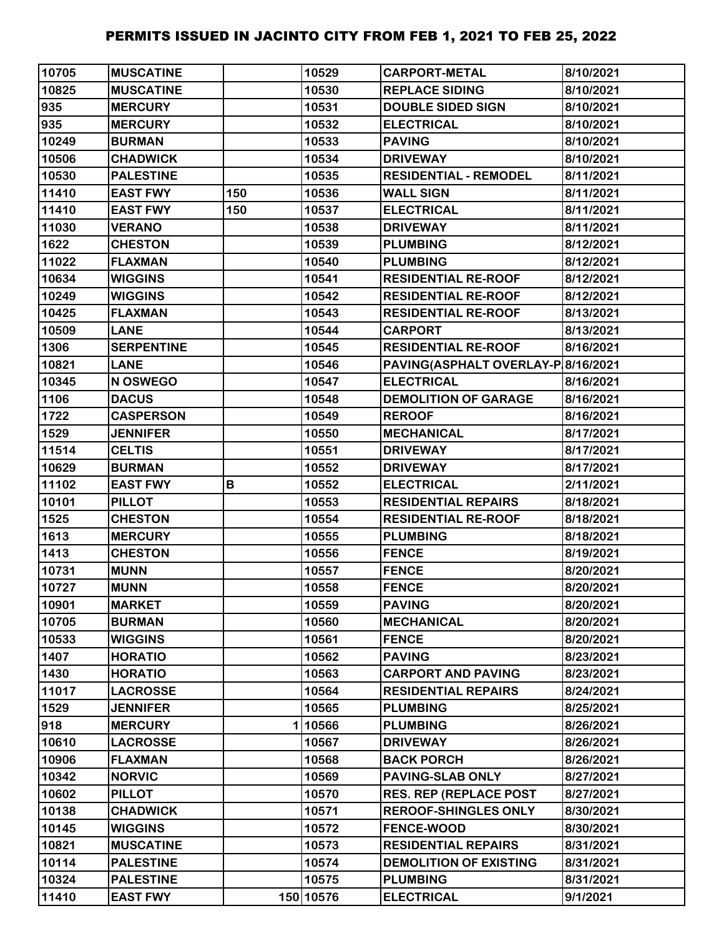| 10705 | <b>MUSCATINE</b>  |     | 10529     | <b>CARPORT-METAL</b>               | 8/10/2021 |
|-------|-------------------|-----|-----------|------------------------------------|-----------|
| 10825 | <b>MUSCATINE</b>  |     | 10530     | <b>REPLACE SIDING</b>              | 8/10/2021 |
| 935   | <b>MERCURY</b>    |     | 10531     | <b>DOUBLE SIDED SIGN</b>           | 8/10/2021 |
| 935   | <b>MERCURY</b>    |     | 10532     | <b>ELECTRICAL</b>                  | 8/10/2021 |
| 10249 | <b>BURMAN</b>     |     | 10533     | <b>PAVING</b>                      | 8/10/2021 |
| 10506 | <b>CHADWICK</b>   |     | 10534     | <b>DRIVEWAY</b>                    | 8/10/2021 |
| 10530 | <b>PALESTINE</b>  |     | 10535     | <b>RESIDENTIAL - REMODEL</b>       | 8/11/2021 |
| 11410 | <b>EAST FWY</b>   | 150 | 10536     | <b>WALL SIGN</b>                   | 8/11/2021 |
| 11410 | <b>EAST FWY</b>   | 150 | 10537     | <b>ELECTRICAL</b>                  | 8/11/2021 |
| 11030 | <b>VERANO</b>     |     | 10538     | <b>DRIVEWAY</b>                    | 8/11/2021 |
| 1622  | <b>CHESTON</b>    |     | 10539     | <b>PLUMBING</b>                    | 8/12/2021 |
| 11022 | <b>FLAXMAN</b>    |     | 10540     | <b>PLUMBING</b>                    | 8/12/2021 |
| 10634 | <b>WIGGINS</b>    |     | 10541     | <b>RESIDENTIAL RE-ROOF</b>         | 8/12/2021 |
| 10249 | <b>WIGGINS</b>    |     | 10542     | <b>RESIDENTIAL RE-ROOF</b>         | 8/12/2021 |
| 10425 | <b>FLAXMAN</b>    |     | 10543     | <b>RESIDENTIAL RE-ROOF</b>         | 8/13/2021 |
| 10509 | <b>LANE</b>       |     | 10544     | <b>CARPORT</b>                     | 8/13/2021 |
| 1306  | <b>SERPENTINE</b> |     | 10545     | <b>RESIDENTIAL RE-ROOF</b>         | 8/16/2021 |
| 10821 | <b>LANE</b>       |     | 10546     | PAVING(ASPHALT OVERLAY-P 8/16/2021 |           |
| 10345 | N OSWEGO          |     | 10547     | <b>ELECTRICAL</b>                  | 8/16/2021 |
| 1106  | <b>DACUS</b>      |     | 10548     | <b>DEMOLITION OF GARAGE</b>        | 8/16/2021 |
| 1722  | <b>CASPERSON</b>  |     | 10549     | <b>REROOF</b>                      | 8/16/2021 |
| 1529  | <b>JENNIFER</b>   |     | 10550     | <b>MECHANICAL</b>                  | 8/17/2021 |
| 11514 | <b>CELTIS</b>     |     | 10551     | <b>DRIVEWAY</b>                    | 8/17/2021 |
| 10629 | <b>BURMAN</b>     |     | 10552     | <b>DRIVEWAY</b>                    | 8/17/2021 |
| 11102 | <b>EAST FWY</b>   | В   | 10552     | <b>ELECTRICAL</b>                  | 2/11/2021 |
| 10101 | <b>PILLOT</b>     |     | 10553     | <b>RESIDENTIAL REPAIRS</b>         | 8/18/2021 |
| 1525  | <b>CHESTON</b>    |     | 10554     | <b>RESIDENTIAL RE-ROOF</b>         | 8/18/2021 |
| 1613  | <b>MERCURY</b>    |     | 10555     | <b>PLUMBING</b>                    | 8/18/2021 |
| 1413  | <b>CHESTON</b>    |     | 10556     | <b>FENCE</b>                       | 8/19/2021 |
| 10731 | <b>MUNN</b>       |     | 10557     | <b>FENCE</b>                       | 8/20/2021 |
| 10727 | <b>MUNN</b>       |     | 10558     | <b>FENCE</b>                       | 8/20/2021 |
| 10901 | <b>MARKET</b>     |     | 10559     | <b>PAVING</b>                      | 8/20/2021 |
| 10705 | <b>BURMAN</b>     |     | 10560     | <b>MECHANICAL</b>                  | 8/20/2021 |
| 10533 | <b>WIGGINS</b>    |     | 10561     | <b>FENCE</b>                       | 8/20/2021 |
| 1407  | <b>HORATIO</b>    |     | 10562     | <b>PAVING</b>                      | 8/23/2021 |
| 1430  | <b>HORATIO</b>    |     | 10563     | <b>CARPORT AND PAVING</b>          | 8/23/2021 |
| 11017 | <b>LACROSSE</b>   |     | 10564     | <b>RESIDENTIAL REPAIRS</b>         | 8/24/2021 |
| 1529  | <b>JENNIFER</b>   |     | 10565     | <b>PLUMBING</b>                    | 8/25/2021 |
| 918   | <b>MERCURY</b>    |     | 110566    | <b>PLUMBING</b>                    | 8/26/2021 |
| 10610 | <b>LACROSSE</b>   |     | 10567     | <b>DRIVEWAY</b>                    | 8/26/2021 |
| 10906 | <b>FLAXMAN</b>    |     | 10568     | <b>BACK PORCH</b>                  | 8/26/2021 |
| 10342 | <b>NORVIC</b>     |     | 10569     | PAVING-SLAB ONLY                   | 8/27/2021 |
| 10602 | <b>PILLOT</b>     |     | 10570     | <b>RES. REP (REPLACE POST</b>      | 8/27/2021 |
| 10138 | <b>CHADWICK</b>   |     | 10571     | <b>REROOF-SHINGLES ONLY</b>        | 8/30/2021 |
| 10145 | <b>WIGGINS</b>    |     | 10572     | <b>FENCE-WOOD</b>                  | 8/30/2021 |
| 10821 | <b>MUSCATINE</b>  |     | 10573     | <b>RESIDENTIAL REPAIRS</b>         | 8/31/2021 |
| 10114 | <b>PALESTINE</b>  |     | 10574     | <b>DEMOLITION OF EXISTING</b>      | 8/31/2021 |
| 10324 | <b>PALESTINE</b>  |     | 10575     | <b>PLUMBING</b>                    | 8/31/2021 |
| 11410 | <b>EAST FWY</b>   |     | 150 10576 | <b>ELECTRICAL</b>                  | 9/1/2021  |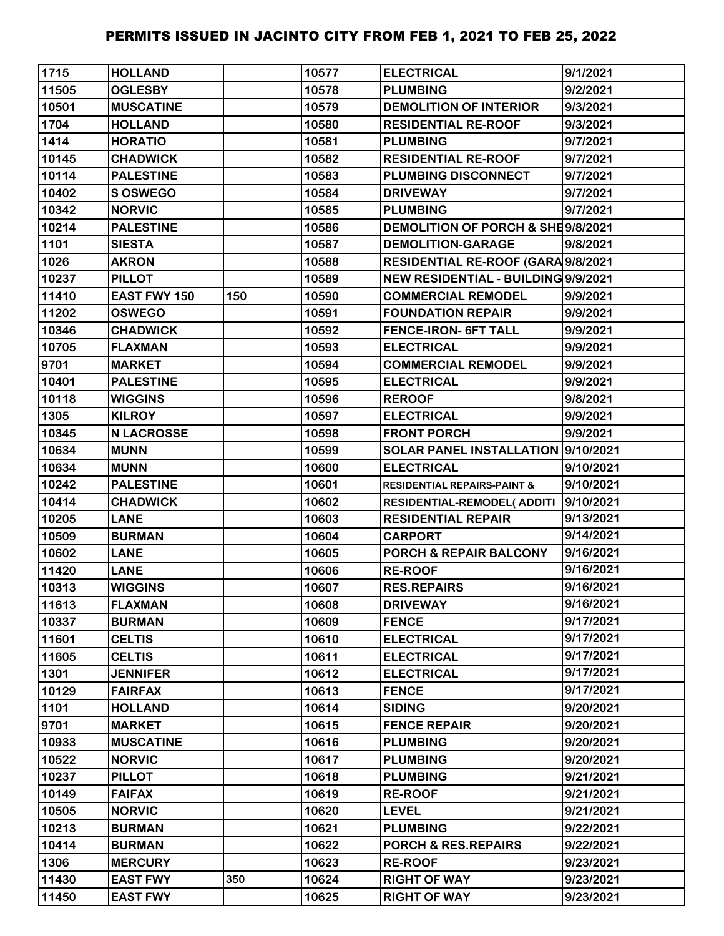| 1715  | <b>HOLLAND</b>      |     | 10577 | <b>ELECTRICAL</b>                      | 9/1/2021  |
|-------|---------------------|-----|-------|----------------------------------------|-----------|
| 11505 | <b>OGLESBY</b>      |     | 10578 | <b>PLUMBING</b>                        | 9/2/2021  |
| 10501 | <b>MUSCATINE</b>    |     | 10579 | <b>DEMOLITION OF INTERIOR</b>          | 9/3/2021  |
| 1704  | <b>HOLLAND</b>      |     | 10580 | <b>RESIDENTIAL RE-ROOF</b>             | 9/3/2021  |
| 1414  | <b>HORATIO</b>      |     | 10581 | <b>PLUMBING</b>                        | 9/7/2021  |
| 10145 | <b>CHADWICK</b>     |     | 10582 | <b>RESIDENTIAL RE-ROOF</b>             | 9/7/2021  |
| 10114 | <b>PALESTINE</b>    |     | 10583 | PLUMBING DISCONNECT                    | 9/7/2021  |
| 10402 | S OSWEGO            |     | 10584 | <b>DRIVEWAY</b>                        | 9/7/2021  |
| 10342 | <b>NORVIC</b>       |     | 10585 | <b>PLUMBING</b>                        | 9/7/2021  |
| 10214 | <b>PALESTINE</b>    |     | 10586 | DEMOLITION OF PORCH & SHE9/8/2021      |           |
| 1101  | <b>SIESTA</b>       |     | 10587 | <b>DEMOLITION-GARAGE</b>               | 9/8/2021  |
| 1026  | <b>AKRON</b>        |     | 10588 | RESIDENTIAL RE-ROOF (GARA 9/8/2021     |           |
| 10237 | <b>PILLOT</b>       |     | 10589 | NEW RESIDENTIAL - BUILDING 9/9/2021    |           |
| 11410 | <b>EAST FWY 150</b> | 150 | 10590 | <b>COMMERCIAL REMODEL</b>              | 9/9/2021  |
| 11202 | <b>OSWEGO</b>       |     | 10591 | <b>FOUNDATION REPAIR</b>               | 9/9/2021  |
| 10346 | <b>CHADWICK</b>     |     | 10592 | <b>FENCE-IRON- 6FT TALL</b>            | 9/9/2021  |
| 10705 | <b>FLAXMAN</b>      |     | 10593 | <b>ELECTRICAL</b>                      | 9/9/2021  |
| 9701  | <b>MARKET</b>       |     | 10594 | <b>COMMERCIAL REMODEL</b>              | 9/9/2021  |
| 10401 | <b>PALESTINE</b>    |     | 10595 | <b>ELECTRICAL</b>                      | 9/9/2021  |
| 10118 | <b>WIGGINS</b>      |     | 10596 | <b>REROOF</b>                          | 9/8/2021  |
| 1305  | <b>KILROY</b>       |     | 10597 | <b>ELECTRICAL</b>                      | 9/9/2021  |
| 10345 | <b>N LACROSSE</b>   |     | 10598 | <b>FRONT PORCH</b>                     | 9/9/2021  |
| 10634 | <b>MUNN</b>         |     | 10599 | SOLAR PANEL INSTALLATION 9/10/2021     |           |
| 10634 | <b>MUNN</b>         |     | 10600 | <b>ELECTRICAL</b>                      | 9/10/2021 |
| 10242 | <b>PALESTINE</b>    |     | 10601 | <b>RESIDENTIAL REPAIRS-PAINT &amp;</b> | 9/10/2021 |
| 10414 | <b>CHADWICK</b>     |     | 10602 | <b>RESIDENTIAL-REMODEL( ADDITI</b>     | 9/10/2021 |
| 10205 | <b>LANE</b>         |     | 10603 | <b>RESIDENTIAL REPAIR</b>              | 9/13/2021 |
| 10509 | <b>BURMAN</b>       |     | 10604 | <b>CARPORT</b>                         | 9/14/2021 |
| 10602 | <b>LANE</b>         |     | 10605 | PORCH & REPAIR BALCONY                 | 9/16/2021 |
| 11420 | <b>LANE</b>         |     | 10606 | <b>RE-ROOF</b>                         | 9/16/2021 |
| 10313 | <b>WIGGINS</b>      |     | 10607 | <b>RES.REPAIRS</b>                     | 9/16/2021 |
| 11613 | <b>FLAXMAN</b>      |     | 10608 | <b>DRIVEWAY</b>                        | 9/16/2021 |
| 10337 | <b>BURMAN</b>       |     | 10609 | <b>FENCE</b>                           | 9/17/2021 |
| 11601 | <b>CELTIS</b>       |     | 10610 | <b>ELECTRICAL</b>                      | 9/17/2021 |
| 11605 | <b>CELTIS</b>       |     | 10611 | <b>ELECTRICAL</b>                      | 9/17/2021 |
| 1301  | <b>JENNIFER</b>     |     | 10612 | <b>ELECTRICAL</b>                      | 9/17/2021 |
| 10129 | <b>FAIRFAX</b>      |     | 10613 | <b>FENCE</b>                           | 9/17/2021 |
| 1101  | <b>HOLLAND</b>      |     | 10614 | <b>SIDING</b>                          | 9/20/2021 |
| 9701  | <b>MARKET</b>       |     | 10615 | <b>FENCE REPAIR</b>                    | 9/20/2021 |
| 10933 | <b>MUSCATINE</b>    |     | 10616 | <b>PLUMBING</b>                        | 9/20/2021 |
| 10522 | <b>NORVIC</b>       |     | 10617 | <b>PLUMBING</b>                        | 9/20/2021 |
| 10237 | <b>PILLOT</b>       |     | 10618 | <b>PLUMBING</b>                        | 9/21/2021 |
| 10149 | <b>FAIFAX</b>       |     | 10619 | <b>RE-ROOF</b>                         | 9/21/2021 |
| 10505 | <b>NORVIC</b>       |     | 10620 | <b>LEVEL</b>                           | 9/21/2021 |
| 10213 | <b>BURMAN</b>       |     | 10621 | <b>PLUMBING</b>                        | 9/22/2021 |
| 10414 | <b>BURMAN</b>       |     | 10622 | PORCH & RES.REPAIRS                    | 9/22/2021 |
| 1306  | <b>MERCURY</b>      |     | 10623 | <b>RE-ROOF</b>                         | 9/23/2021 |
| 11430 | <b>EAST FWY</b>     | 350 | 10624 | <b>RIGHT OF WAY</b>                    | 9/23/2021 |
| 11450 | <b>EAST FWY</b>     |     | 10625 | <b>RIGHT OF WAY</b>                    | 9/23/2021 |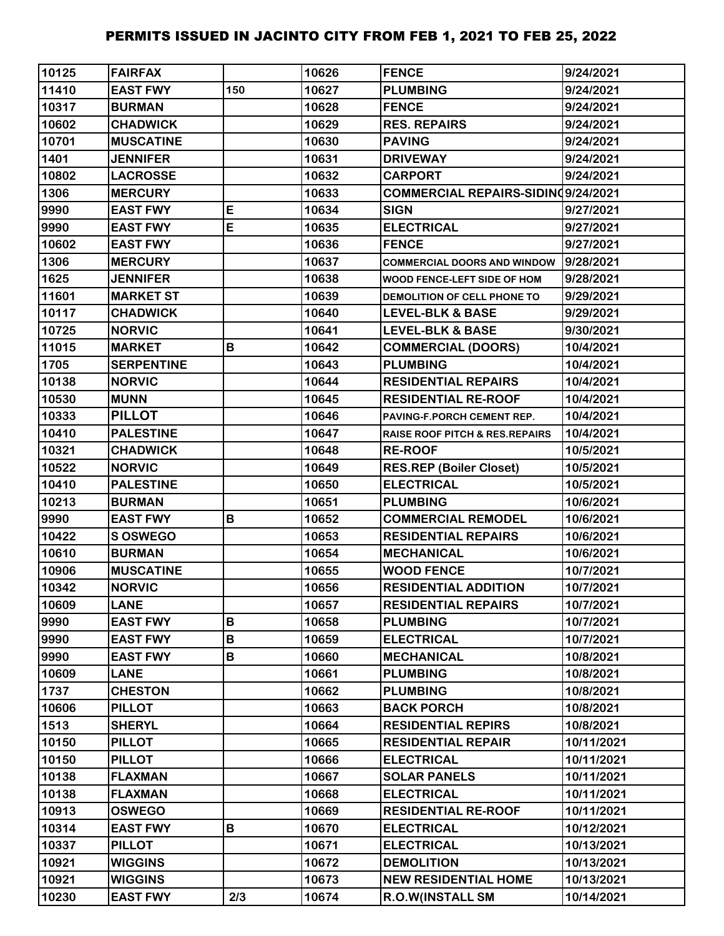| 10125 | <b>FAIRFAX</b>    |     | 10626 | <b>FENCE</b>                              | 9/24/2021  |
|-------|-------------------|-----|-------|-------------------------------------------|------------|
| 11410 | <b>EAST FWY</b>   | 150 | 10627 | <b>PLUMBING</b>                           | 9/24/2021  |
| 10317 | <b>BURMAN</b>     |     | 10628 | <b>FENCE</b>                              | 9/24/2021  |
| 10602 | <b>CHADWICK</b>   |     | 10629 | <b>RES. REPAIRS</b>                       | 9/24/2021  |
| 10701 | <b>MUSCATINE</b>  |     | 10630 | <b>PAVING</b>                             | 9/24/2021  |
| 1401  | <b>JENNIFER</b>   |     | 10631 | <b>DRIVEWAY</b>                           | 9/24/2021  |
| 10802 | <b>LACROSSE</b>   |     | 10632 | <b>CARPORT</b>                            | 9/24/2021  |
| 1306  | <b>MERCURY</b>    |     | 10633 | COMMERCIAL REPAIRS-SIDINQ9/24/2021        |            |
| 9990  | <b>EAST FWY</b>   | E   | 10634 | <b>SIGN</b>                               | 9/27/2021  |
| 9990  | <b>EAST FWY</b>   | E   | 10635 | <b>ELECTRICAL</b>                         | 9/27/2021  |
| 10602 | <b>EAST FWY</b>   |     | 10636 | <b>FENCE</b>                              | 9/27/2021  |
| 1306  | <b>MERCURY</b>    |     | 10637 | <b>COMMERCIAL DOORS AND WINDOW</b>        | 9/28/2021  |
| 1625  | <b>JENNIFER</b>   |     | 10638 | WOOD FENCE-LEFT SIDE OF HOM               | 9/28/2021  |
| 11601 | <b>MARKET ST</b>  |     | 10639 | DEMOLITION OF CELL PHONE TO               | 9/29/2021  |
| 10117 | <b>CHADWICK</b>   |     | 10640 | <b>LEVEL-BLK &amp; BASE</b>               | 9/29/2021  |
| 10725 | <b>NORVIC</b>     |     | 10641 | <b>LEVEL-BLK &amp; BASE</b>               | 9/30/2021  |
| 11015 | <b>MARKET</b>     | B   | 10642 | <b>COMMERCIAL (DOORS)</b>                 | 10/4/2021  |
| 1705  | <b>SERPENTINE</b> |     | 10643 | <b>PLUMBING</b>                           | 10/4/2021  |
| 10138 | <b>NORVIC</b>     |     | 10644 | <b>RESIDENTIAL REPAIRS</b>                | 10/4/2021  |
| 10530 | <b>MUNN</b>       |     | 10645 | <b>RESIDENTIAL RE-ROOF</b>                | 10/4/2021  |
| 10333 | <b>PILLOT</b>     |     | 10646 | PAVING-F.PORCH CEMENT REP.                | 10/4/2021  |
| 10410 | <b>PALESTINE</b>  |     | 10647 | <b>RAISE ROOF PITCH &amp; RES.REPAIRS</b> | 10/4/2021  |
| 10321 | <b>CHADWICK</b>   |     | 10648 | <b>RE-ROOF</b>                            | 10/5/2021  |
| 10522 | <b>NORVIC</b>     |     | 10649 | <b>RES.REP (Boiler Closet)</b>            | 10/5/2021  |
| 10410 | <b>PALESTINE</b>  |     | 10650 | <b>ELECTRICAL</b>                         | 10/5/2021  |
| 10213 | <b>BURMAN</b>     |     | 10651 | <b>PLUMBING</b>                           | 10/6/2021  |
| 9990  | <b>EAST FWY</b>   | B   | 10652 | <b>COMMERCIAL REMODEL</b>                 | 10/6/2021  |
| 10422 | S OSWEGO          |     | 10653 | <b>RESIDENTIAL REPAIRS</b>                | 10/6/2021  |
| 10610 | <b>BURMAN</b>     |     | 10654 | <b>MECHANICAL</b>                         | 10/6/2021  |
| 10906 | <b>MUSCATINE</b>  |     | 10655 | <b>WOOD FENCE</b>                         | 10/7/2021  |
| 10342 | <b>NORVIC</b>     |     | 10656 | <b>RESIDENTIAL ADDITION</b>               | 10/7/2021  |
| 10609 | <b>LANE</b>       |     | 10657 | <b>RESIDENTIAL REPAIRS</b>                | 10/7/2021  |
| 9990  | <b>EAST FWY</b>   | B   | 10658 | <b>PLUMBING</b>                           | 10/7/2021  |
| 9990  | <b>EAST FWY</b>   | В   | 10659 | <b>ELECTRICAL</b>                         | 10/7/2021  |
| 9990  | <b>EAST FWY</b>   | В   | 10660 | <b>MECHANICAL</b>                         | 10/8/2021  |
| 10609 | <b>LANE</b>       |     | 10661 | <b>PLUMBING</b>                           | 10/8/2021  |
| 1737  | <b>CHESTON</b>    |     | 10662 | <b>PLUMBING</b>                           | 10/8/2021  |
| 10606 | <b>PILLOT</b>     |     | 10663 | <b>BACK PORCH</b>                         | 10/8/2021  |
| 1513  | <b>SHERYL</b>     |     | 10664 | <b>RESIDENTIAL REPIRS</b>                 | 10/8/2021  |
| 10150 | <b>PILLOT</b>     |     | 10665 | <b>RESIDENTIAL REPAIR</b>                 | 10/11/2021 |
| 10150 | <b>PILLOT</b>     |     | 10666 | <b>ELECTRICAL</b>                         | 10/11/2021 |
| 10138 | <b>FLAXMAN</b>    |     | 10667 | <b>SOLAR PANELS</b>                       | 10/11/2021 |
| 10138 | <b>FLAXMAN</b>    |     | 10668 | <b>ELECTRICAL</b>                         | 10/11/2021 |
| 10913 | <b>OSWEGO</b>     |     | 10669 | <b>RESIDENTIAL RE-ROOF</b>                | 10/11/2021 |
| 10314 | <b>EAST FWY</b>   | B   | 10670 | <b>ELECTRICAL</b>                         | 10/12/2021 |
| 10337 | <b>PILLOT</b>     |     | 10671 | <b>ELECTRICAL</b>                         | 10/13/2021 |
| 10921 | <b>WIGGINS</b>    |     | 10672 | <b>DEMOLITION</b>                         | 10/13/2021 |
| 10921 | <b>WIGGINS</b>    |     | 10673 | <b>NEW RESIDENTIAL HOME</b>               | 10/13/2021 |
| 10230 | <b>EAST FWY</b>   | 2/3 | 10674 | R.O.W(INSTALL SM                          | 10/14/2021 |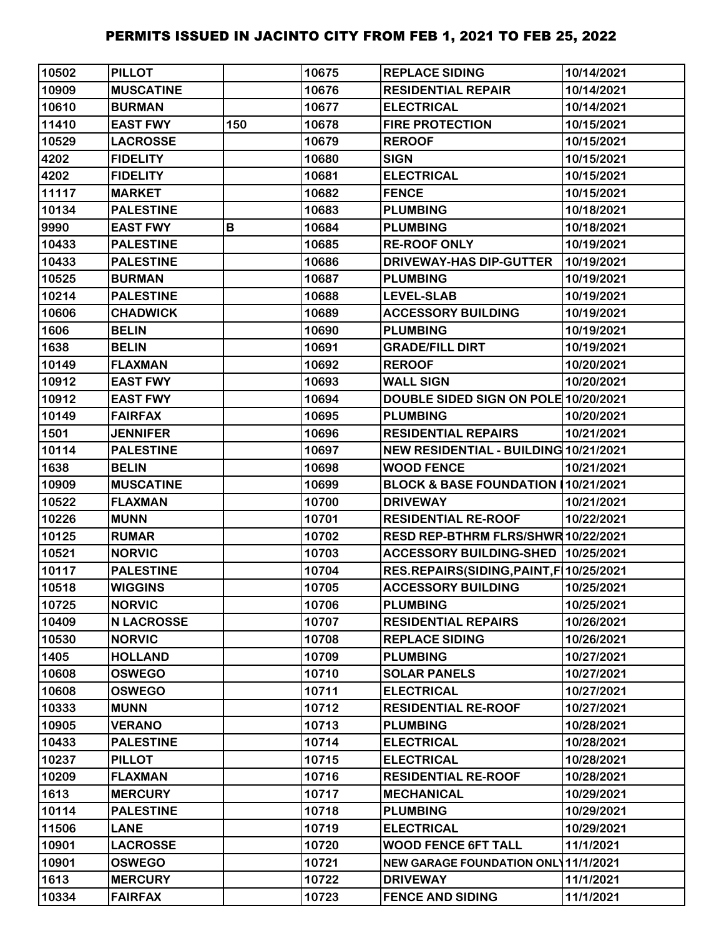| 10502 | <b>PILLOT</b>     |     | 10675 | <b>REPLACE SIDING</b>                     | 10/14/2021 |
|-------|-------------------|-----|-------|-------------------------------------------|------------|
| 10909 | <b>MUSCATINE</b>  |     | 10676 | <b>RESIDENTIAL REPAIR</b>                 | 10/14/2021 |
| 10610 | <b>BURMAN</b>     |     | 10677 | <b>ELECTRICAL</b>                         | 10/14/2021 |
| 11410 | <b>EAST FWY</b>   | 150 | 10678 | <b>FIRE PROTECTION</b>                    | 10/15/2021 |
| 10529 | <b>LACROSSE</b>   |     | 10679 | <b>REROOF</b>                             | 10/15/2021 |
| 4202  | <b>FIDELITY</b>   |     | 10680 | <b>SIGN</b>                               | 10/15/2021 |
| 4202  | <b>FIDELITY</b>   |     | 10681 | <b>ELECTRICAL</b>                         | 10/15/2021 |
| 11117 | <b>MARKET</b>     |     | 10682 | <b>FENCE</b>                              | 10/15/2021 |
| 10134 | <b>PALESTINE</b>  |     | 10683 | <b>PLUMBING</b>                           | 10/18/2021 |
| 9990  | <b>EAST FWY</b>   | B   | 10684 | <b>PLUMBING</b>                           | 10/18/2021 |
| 10433 | <b>PALESTINE</b>  |     | 10685 | <b>RE-ROOF ONLY</b>                       | 10/19/2021 |
| 10433 | <b>PALESTINE</b>  |     | 10686 | <b>DRIVEWAY-HAS DIP-GUTTER</b>            | 10/19/2021 |
| 10525 | <b>BURMAN</b>     |     | 10687 | <b>PLUMBING</b>                           | 10/19/2021 |
| 10214 | <b>PALESTINE</b>  |     | 10688 | <b>LEVEL-SLAB</b>                         | 10/19/2021 |
| 10606 | <b>CHADWICK</b>   |     | 10689 | <b>ACCESSORY BUILDING</b>                 | 10/19/2021 |
| 1606  | <b>BELIN</b>      |     | 10690 | <b>PLUMBING</b>                           | 10/19/2021 |
| 1638  | <b>BELIN</b>      |     | 10691 | <b>GRADE/FILL DIRT</b>                    | 10/19/2021 |
| 10149 | <b>FLAXMAN</b>    |     | 10692 | <b>REROOF</b>                             | 10/20/2021 |
| 10912 | <b>EAST FWY</b>   |     | 10693 | <b>WALL SIGN</b>                          | 10/20/2021 |
| 10912 | <b>EAST FWY</b>   |     | 10694 | DOUBLE SIDED SIGN ON POLE 10/20/2021      |            |
| 10149 | <b>FAIRFAX</b>    |     | 10695 | <b>PLUMBING</b>                           | 10/20/2021 |
| 1501  | <b>JENNIFER</b>   |     | 10696 | <b>RESIDENTIAL REPAIRS</b>                | 10/21/2021 |
| 10114 | <b>PALESTINE</b>  |     | 10697 | NEW RESIDENTIAL - BUILDING 10/21/2021     |            |
| 1638  | <b>BELIN</b>      |     | 10698 | <b>WOOD FENCE</b>                         | 10/21/2021 |
| 10909 | <b>MUSCATINE</b>  |     | 10699 | BLOCK & BASE FOUNDATION (10/21/2021       |            |
| 10522 | <b>FLAXMAN</b>    |     | 10700 | <b>DRIVEWAY</b>                           | 10/21/2021 |
| 10226 | <b>MUNN</b>       |     | 10701 | <b>RESIDENTIAL RE-ROOF</b>                | 10/22/2021 |
| 10125 | <b>RUMAR</b>      |     | 10702 | RESD REP-BTHRM FLRS/SHWR 10/22/2021       |            |
| 10521 | <b>NORVIC</b>     |     | 10703 | ACCESSORY BUILDING-SHED 10/25/2021        |            |
| 10117 | <b>PALESTINE</b>  |     | 10704 | RES.REPAIRS(SIDING, PAINT, F   10/25/2021 |            |
| 10518 | <b>WIGGINS</b>    |     | 10705 | <b>ACCESSORY BUILDING</b>                 | 10/25/2021 |
| 10725 | <b>NORVIC</b>     |     | 10706 | <b>PLUMBING</b>                           | 10/25/2021 |
| 10409 | <b>N LACROSSE</b> |     | 10707 | <b>RESIDENTIAL REPAIRS</b>                | 10/26/2021 |
| 10530 | <b>NORVIC</b>     |     | 10708 | <b>REPLACE SIDING</b>                     | 10/26/2021 |
| 1405  | <b>HOLLAND</b>    |     | 10709 | <b>PLUMBING</b>                           | 10/27/2021 |
| 10608 | <b>OSWEGO</b>     |     | 10710 | <b>SOLAR PANELS</b>                       | 10/27/2021 |
| 10608 | <b>OSWEGO</b>     |     | 10711 | <b>ELECTRICAL</b>                         | 10/27/2021 |
| 10333 | <b>MUNN</b>       |     | 10712 | <b>RESIDENTIAL RE-ROOF</b>                | 10/27/2021 |
| 10905 | <b>VERANO</b>     |     | 10713 | <b>PLUMBING</b>                           | 10/28/2021 |
| 10433 | <b>PALESTINE</b>  |     | 10714 | <b>ELECTRICAL</b>                         | 10/28/2021 |
| 10237 | <b>PILLOT</b>     |     | 10715 | <b>ELECTRICAL</b>                         | 10/28/2021 |
| 10209 | <b>FLAXMAN</b>    |     | 10716 | <b>RESIDENTIAL RE-ROOF</b>                | 10/28/2021 |
| 1613  | <b>MERCURY</b>    |     | 10717 | <b>MECHANICAL</b>                         | 10/29/2021 |
| 10114 | <b>PALESTINE</b>  |     | 10718 | <b>PLUMBING</b>                           | 10/29/2021 |
| 11506 | <b>LANE</b>       |     | 10719 | <b>ELECTRICAL</b>                         | 10/29/2021 |
| 10901 | <b>LACROSSE</b>   |     | 10720 | <b>WOOD FENCE 6FT TALL</b>                | 11/1/2021  |
| 10901 | <b>OSWEGO</b>     |     | 10721 | NEW GARAGE FOUNDATION ONL 11/1/2021       |            |
| 1613  | <b>MERCURY</b>    |     | 10722 | <b>DRIVEWAY</b>                           | 11/1/2021  |
| 10334 | <b>FAIRFAX</b>    |     | 10723 | <b>FENCE AND SIDING</b>                   | 11/1/2021  |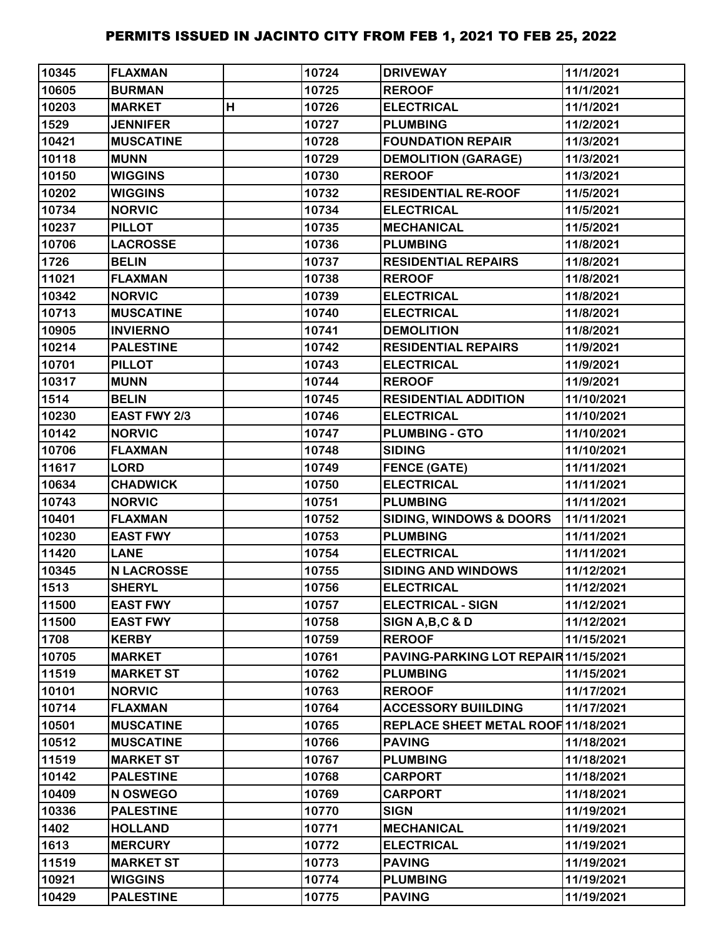| 10345 | <b>FLAXMAN</b>    |   | 10724 | <b>DRIVEWAY</b>                      | 11/1/2021  |
|-------|-------------------|---|-------|--------------------------------------|------------|
| 10605 | <b>BURMAN</b>     |   | 10725 | <b>REROOF</b>                        | 11/1/2021  |
| 10203 | <b>MARKET</b>     | H | 10726 | <b>ELECTRICAL</b>                    | 11/1/2021  |
| 1529  | <b>JENNIFER</b>   |   | 10727 | <b>PLUMBING</b>                      | 11/2/2021  |
| 10421 | <b>MUSCATINE</b>  |   | 10728 | <b>FOUNDATION REPAIR</b>             | 11/3/2021  |
| 10118 | <b>MUNN</b>       |   | 10729 | <b>DEMOLITION (GARAGE)</b>           | 11/3/2021  |
| 10150 | <b>WIGGINS</b>    |   | 10730 | <b>REROOF</b>                        | 11/3/2021  |
| 10202 | <b>WIGGINS</b>    |   | 10732 | <b>RESIDENTIAL RE-ROOF</b>           | 11/5/2021  |
| 10734 | <b>NORVIC</b>     |   | 10734 | <b>ELECTRICAL</b>                    | 11/5/2021  |
| 10237 | <b>PILLOT</b>     |   | 10735 | <b>MECHANICAL</b>                    | 11/5/2021  |
| 10706 | <b>LACROSSE</b>   |   | 10736 | <b>PLUMBING</b>                      | 11/8/2021  |
| 1726  | <b>BELIN</b>      |   | 10737 | <b>RESIDENTIAL REPAIRS</b>           | 11/8/2021  |
| 11021 | <b>FLAXMAN</b>    |   | 10738 | <b>REROOF</b>                        | 11/8/2021  |
| 10342 | <b>NORVIC</b>     |   | 10739 | <b>ELECTRICAL</b>                    | 11/8/2021  |
| 10713 | <b>MUSCATINE</b>  |   | 10740 | <b>ELECTRICAL</b>                    | 11/8/2021  |
| 10905 | <b>INVIERNO</b>   |   | 10741 | <b>DEMOLITION</b>                    | 11/8/2021  |
| 10214 | <b>PALESTINE</b>  |   | 10742 | <b>RESIDENTIAL REPAIRS</b>           | 11/9/2021  |
| 10701 | <b>PILLOT</b>     |   | 10743 | <b>ELECTRICAL</b>                    | 11/9/2021  |
| 10317 | <b>MUNN</b>       |   | 10744 | <b>REROOF</b>                        | 11/9/2021  |
| 1514  | <b>BELIN</b>      |   | 10745 | <b>RESIDENTIAL ADDITION</b>          | 11/10/2021 |
| 10230 | EAST FWY 2/3      |   | 10746 | <b>ELECTRICAL</b>                    | 11/10/2021 |
| 10142 | <b>NORVIC</b>     |   | 10747 | <b>PLUMBING - GTO</b>                | 11/10/2021 |
| 10706 | <b>FLAXMAN</b>    |   | 10748 | <b>SIDING</b>                        | 11/10/2021 |
| 11617 | <b>LORD</b>       |   | 10749 | <b>FENCE (GATE)</b>                  | 11/11/2021 |
| 10634 | <b>CHADWICK</b>   |   | 10750 | <b>ELECTRICAL</b>                    | 11/11/2021 |
| 10743 | <b>NORVIC</b>     |   | 10751 | <b>PLUMBING</b>                      | 11/11/2021 |
| 10401 | <b>FLAXMAN</b>    |   | 10752 | SIDING, WINDOWS & DOORS              | 11/11/2021 |
| 10230 | <b>EAST FWY</b>   |   | 10753 | <b>PLUMBING</b>                      | 11/11/2021 |
| 11420 | <b>LANE</b>       |   | 10754 | <b>ELECTRICAL</b>                    | 11/11/2021 |
| 10345 | <b>N LACROSSE</b> |   | 10755 | <b>SIDING AND WINDOWS</b>            | 11/12/2021 |
| 1513  | <b>SHERYL</b>     |   | 10756 | <b>ELECTRICAL</b>                    | 11/12/2021 |
| 11500 | <b>EAST FWY</b>   |   | 10757 | <b>ELECTRICAL - SIGN</b>             | 11/12/2021 |
| 11500 | <b>EAST FWY</b>   |   | 10758 | SIGN A, B, C & D                     | 11/12/2021 |
| 1708  | <b>KERBY</b>      |   | 10759 | <b>REROOF</b>                        | 11/15/2021 |
| 10705 | <b>MARKET</b>     |   | 10761 | PAVING-PARKING LOT REPAIR 11/15/2021 |            |
| 11519 | <b>MARKET ST</b>  |   | 10762 | <b>PLUMBING</b>                      | 11/15/2021 |
| 10101 | <b>NORVIC</b>     |   | 10763 | <b>REROOF</b>                        | 11/17/2021 |
| 10714 | <b>FLAXMAN</b>    |   | 10764 | <b>ACCESSORY BUIILDING</b>           | 11/17/2021 |
| 10501 | <b>MUSCATINE</b>  |   | 10765 | REPLACE SHEET METAL ROOF 11/18/2021  |            |
| 10512 | <b>MUSCATINE</b>  |   | 10766 | <b>PAVING</b>                        | 11/18/2021 |
| 11519 | <b>MARKET ST</b>  |   | 10767 | <b>PLUMBING</b>                      | 11/18/2021 |
| 10142 | <b>PALESTINE</b>  |   | 10768 | <b>CARPORT</b>                       | 11/18/2021 |
| 10409 | N OSWEGO          |   | 10769 | <b>CARPORT</b>                       | 11/18/2021 |
| 10336 | <b>PALESTINE</b>  |   | 10770 | <b>SIGN</b>                          | 11/19/2021 |
| 1402  | <b>HOLLAND</b>    |   | 10771 | <b>MECHANICAL</b>                    | 11/19/2021 |
| 1613  | <b>MERCURY</b>    |   | 10772 | <b>ELECTRICAL</b>                    | 11/19/2021 |
| 11519 | <b>MARKET ST</b>  |   | 10773 | <b>PAVING</b>                        | 11/19/2021 |
| 10921 | <b>WIGGINS</b>    |   | 10774 | <b>PLUMBING</b>                      | 11/19/2021 |
| 10429 | <b>PALESTINE</b>  |   | 10775 | <b>PAVING</b>                        | 11/19/2021 |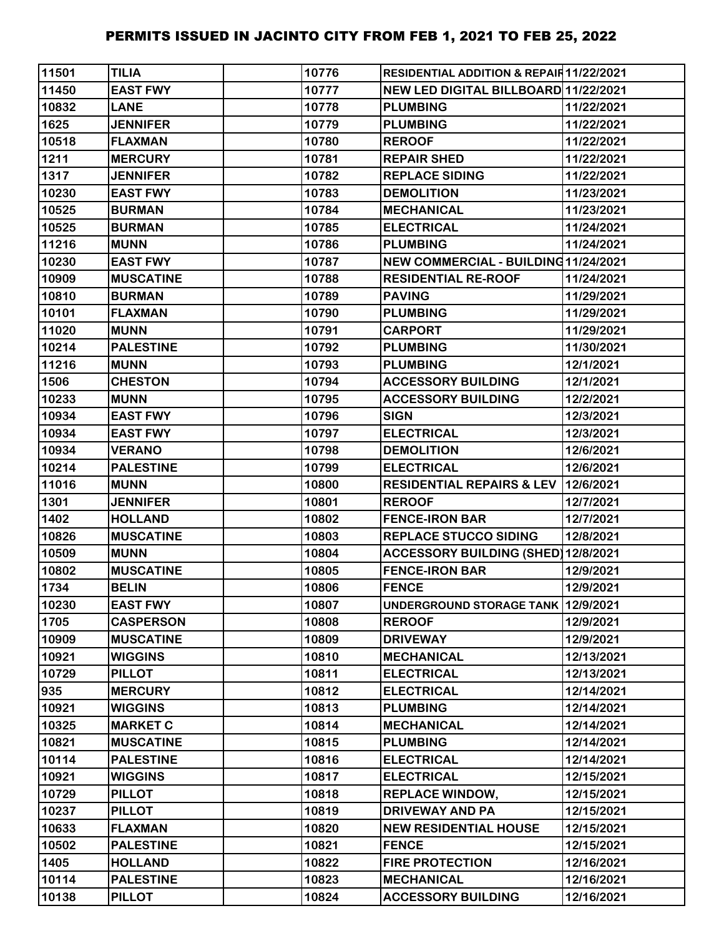| 11501 | <b>TILIA</b>     | 10776 | <b>RESIDENTIAL ADDITION &amp; REPAIR11/22/2021</b> |            |
|-------|------------------|-------|----------------------------------------------------|------------|
| 11450 | <b>EAST FWY</b>  | 10777 | NEW LED DIGITAL BILLBOARD 11/22/2021               |            |
| 10832 | <b>LANE</b>      | 10778 | <b>PLUMBING</b>                                    | 11/22/2021 |
| 1625  | <b>JENNIFER</b>  | 10779 | <b>PLUMBING</b>                                    | 11/22/2021 |
| 10518 | <b>FLAXMAN</b>   | 10780 | <b>REROOF</b>                                      | 11/22/2021 |
| 1211  | <b>MERCURY</b>   | 10781 | <b>REPAIR SHED</b>                                 | 11/22/2021 |
| 1317  | <b>JENNIFER</b>  | 10782 | <b>REPLACE SIDING</b>                              | 11/22/2021 |
| 10230 | <b>EAST FWY</b>  | 10783 | <b>DEMOLITION</b>                                  | 11/23/2021 |
| 10525 | <b>BURMAN</b>    | 10784 | <b>MECHANICAL</b>                                  | 11/23/2021 |
| 10525 | <b>BURMAN</b>    | 10785 | <b>ELECTRICAL</b>                                  | 11/24/2021 |
| 11216 | <b>MUNN</b>      | 10786 | <b>PLUMBING</b>                                    | 11/24/2021 |
| 10230 | <b>EAST FWY</b>  | 10787 | NEW COMMERCIAL - BUILDING 11/24/2021               |            |
| 10909 | <b>MUSCATINE</b> | 10788 | <b>RESIDENTIAL RE-ROOF</b>                         | 11/24/2021 |
| 10810 | <b>BURMAN</b>    | 10789 | <b>PAVING</b>                                      | 11/29/2021 |
| 10101 | <b>FLAXMAN</b>   | 10790 | <b>PLUMBING</b>                                    | 11/29/2021 |
| 11020 | <b>MUNN</b>      | 10791 | <b>CARPORT</b>                                     | 11/29/2021 |
| 10214 | <b>PALESTINE</b> | 10792 | <b>PLUMBING</b>                                    | 11/30/2021 |
| 11216 | <b>MUNN</b>      | 10793 | <b>PLUMBING</b>                                    | 12/1/2021  |
| 1506  | <b>CHESTON</b>   | 10794 | <b>ACCESSORY BUILDING</b>                          | 12/1/2021  |
| 10233 | <b>MUNN</b>      | 10795 | <b>ACCESSORY BUILDING</b>                          | 12/2/2021  |
| 10934 | <b>EAST FWY</b>  | 10796 | <b>SIGN</b>                                        | 12/3/2021  |
| 10934 | <b>EAST FWY</b>  | 10797 | <b>ELECTRICAL</b>                                  | 12/3/2021  |
| 10934 | <b>VERANO</b>    | 10798 | <b>DEMOLITION</b>                                  | 12/6/2021  |
| 10214 | <b>PALESTINE</b> | 10799 | <b>ELECTRICAL</b>                                  | 12/6/2021  |
| 11016 | <b>MUNN</b>      | 10800 | RESIDENTIAL REPAIRS & LEV 12/6/2021                |            |
| 1301  | <b>JENNIFER</b>  | 10801 | <b>REROOF</b>                                      | 12/7/2021  |
| 1402  | <b>HOLLAND</b>   | 10802 | <b>FENCE-IRON BAR</b>                              | 12/7/2021  |
| 10826 | <b>MUSCATINE</b> | 10803 | <b>REPLACE STUCCO SIDING</b>                       | 12/8/2021  |
| 10509 | <b>MUNN</b>      | 10804 | <b>ACCESSORY BUILDING (SHED)12/8/2021</b>          |            |
| 10802 | <b>MUSCATINE</b> | 10805 | <b>FENCE-IRON BAR</b>                              | 12/9/2021  |
| 1734  | <b>BELIN</b>     | 10806 | <b>FENCE</b>                                       | 12/9/2021  |
| 10230 | <b>EAST FWY</b>  | 10807 | UNDERGROUND STORAGE TANK 12/9/2021                 |            |
| 1705  | <b>CASPERSON</b> | 10808 | <b>REROOF</b>                                      | 12/9/2021  |
| 10909 | <b>MUSCATINE</b> | 10809 | <b>DRIVEWAY</b>                                    | 12/9/2021  |
| 10921 | <b>WIGGINS</b>   | 10810 | <b>MECHANICAL</b>                                  | 12/13/2021 |
| 10729 | <b>PILLOT</b>    | 10811 | <b>ELECTRICAL</b>                                  | 12/13/2021 |
| 935   | <b>MERCURY</b>   | 10812 | <b>ELECTRICAL</b>                                  | 12/14/2021 |
| 10921 | <b>WIGGINS</b>   | 10813 | <b>PLUMBING</b>                                    | 12/14/2021 |
| 10325 | <b>MARKET C</b>  | 10814 | <b>MECHANICAL</b>                                  | 12/14/2021 |
| 10821 | <b>MUSCATINE</b> | 10815 | <b>PLUMBING</b>                                    | 12/14/2021 |
| 10114 | <b>PALESTINE</b> | 10816 | <b>ELECTRICAL</b>                                  | 12/14/2021 |
| 10921 | <b>WIGGINS</b>   | 10817 | <b>ELECTRICAL</b>                                  | 12/15/2021 |
| 10729 | <b>PILLOT</b>    | 10818 | <b>REPLACE WINDOW,</b>                             | 12/15/2021 |
| 10237 | <b>PILLOT</b>    | 10819 | <b>DRIVEWAY AND PA</b>                             | 12/15/2021 |
| 10633 | <b>FLAXMAN</b>   | 10820 | <b>NEW RESIDENTIAL HOUSE</b>                       | 12/15/2021 |
| 10502 | <b>PALESTINE</b> | 10821 | <b>FENCE</b>                                       | 12/15/2021 |
| 1405  | <b>HOLLAND</b>   | 10822 | <b>FIRE PROTECTION</b>                             | 12/16/2021 |
| 10114 | <b>PALESTINE</b> | 10823 | <b>MECHANICAL</b>                                  | 12/16/2021 |
| 10138 | <b>PILLOT</b>    | 10824 | <b>ACCESSORY BUILDING</b>                          | 12/16/2021 |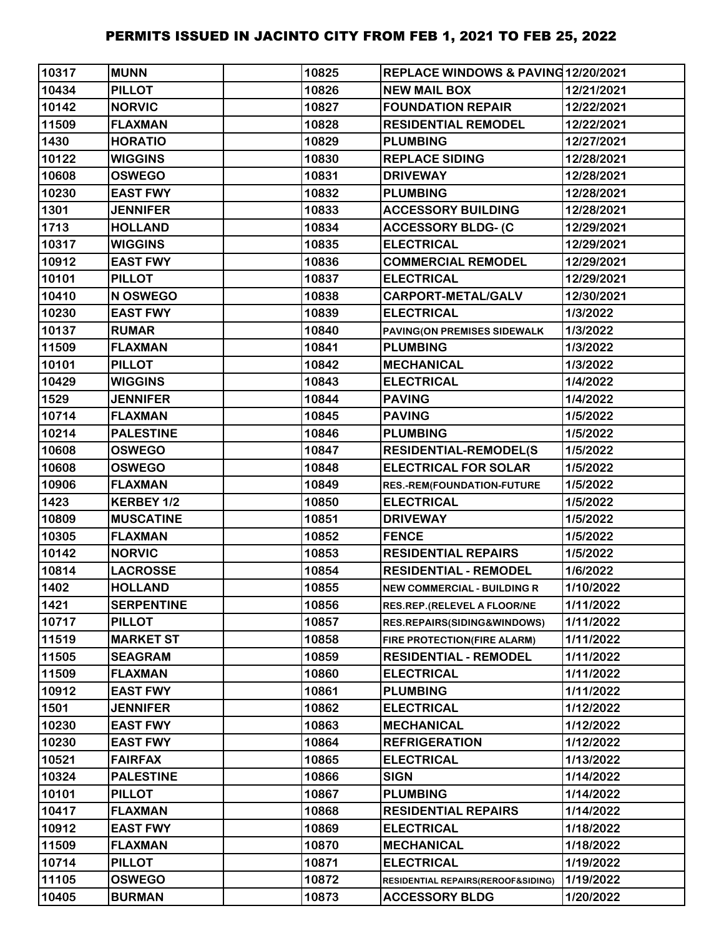| 10317 | <b>MUNN</b>       | 10825 | REPLACE WINDOWS & PAVING12/20/2021 |            |
|-------|-------------------|-------|------------------------------------|------------|
| 10434 | <b>PILLOT</b>     | 10826 | <b>NEW MAIL BOX</b>                | 12/21/2021 |
| 10142 | <b>NORVIC</b>     | 10827 | <b>FOUNDATION REPAIR</b>           | 12/22/2021 |
| 11509 | <b>FLAXMAN</b>    | 10828 | <b>RESIDENTIAL REMODEL</b>         | 12/22/2021 |
| 1430  | <b>HORATIO</b>    | 10829 | <b>PLUMBING</b>                    | 12/27/2021 |
| 10122 | <b>WIGGINS</b>    | 10830 | <b>REPLACE SIDING</b>              | 12/28/2021 |
| 10608 | <b>OSWEGO</b>     | 10831 | <b>DRIVEWAY</b>                    | 12/28/2021 |
| 10230 | <b>EAST FWY</b>   | 10832 | <b>PLUMBING</b>                    | 12/28/2021 |
| 1301  | <b>JENNIFER</b>   | 10833 | <b>ACCESSORY BUILDING</b>          | 12/28/2021 |
| 1713  | <b>HOLLAND</b>    | 10834 | <b>ACCESSORY BLDG- (C</b>          | 12/29/2021 |
| 10317 | <b>WIGGINS</b>    | 10835 | <b>ELECTRICAL</b>                  | 12/29/2021 |
| 10912 | <b>EAST FWY</b>   | 10836 | <b>COMMERCIAL REMODEL</b>          | 12/29/2021 |
| 10101 | <b>PILLOT</b>     | 10837 | <b>ELECTRICAL</b>                  | 12/29/2021 |
| 10410 | N OSWEGO          | 10838 | <b>CARPORT-METAL/GALV</b>          | 12/30/2021 |
| 10230 | <b>EAST FWY</b>   | 10839 | <b>ELECTRICAL</b>                  | 1/3/2022   |
| 10137 | <b>RUMAR</b>      | 10840 | PAVING(ON PREMISES SIDEWALK        | 1/3/2022   |
| 11509 | <b>FLAXMAN</b>    | 10841 | <b>PLUMBING</b>                    | 1/3/2022   |
| 10101 | <b>PILLOT</b>     | 10842 | <b>MECHANICAL</b>                  | 1/3/2022   |
| 10429 | <b>WIGGINS</b>    | 10843 | <b>ELECTRICAL</b>                  | 1/4/2022   |
| 1529  | <b>JENNIFER</b>   | 10844 | <b>PAVING</b>                      | 1/4/2022   |
| 10714 | <b>FLAXMAN</b>    | 10845 | <b>PAVING</b>                      | 1/5/2022   |
| 10214 | <b>PALESTINE</b>  | 10846 | <b>PLUMBING</b>                    | 1/5/2022   |
| 10608 | <b>OSWEGO</b>     | 10847 | <b>RESIDENTIAL-REMODEL(S</b>       | 1/5/2022   |
| 10608 | <b>OSWEGO</b>     | 10848 | <b>ELECTRICAL FOR SOLAR</b>        | 1/5/2022   |
| 10906 | <b>FLAXMAN</b>    | 10849 | RES.-REM(FOUNDATION-FUTURE         | 1/5/2022   |
| 1423  | KERBEY 1/2        | 10850 | <b>ELECTRICAL</b>                  | 1/5/2022   |
| 10809 | <b>MUSCATINE</b>  | 10851 | <b>DRIVEWAY</b>                    | 1/5/2022   |
| 10305 | <b>FLAXMAN</b>    | 10852 | <b>FENCE</b>                       | 1/5/2022   |
| 10142 | <b>NORVIC</b>     | 10853 | <b>RESIDENTIAL REPAIRS</b>         | 1/5/2022   |
| 10814 | <b>LACROSSE</b>   | 10854 | <b>RESIDENTIAL - REMODEL</b>       | 1/6/2022   |
| 1402  | <b>HOLLAND</b>    | 10855 | <b>NEW COMMERCIAL - BUILDING R</b> | 1/10/2022  |
| 1421  | <b>SERPENTINE</b> | 10856 | RES.REP.(RELEVEL A FLOOR/NE        | 1/11/2022  |
| 10717 | <b>PILLOT</b>     | 10857 | RES.REPAIRS(SIDING&WINDOWS)        | 1/11/2022  |
| 11519 | <b>MARKET ST</b>  | 10858 | FIRE PROTECTION(FIRE ALARM)        | 1/11/2022  |
| 11505 | <b>SEAGRAM</b>    | 10859 | <b>RESIDENTIAL - REMODEL</b>       | 1/11/2022  |
| 11509 | <b>FLAXMAN</b>    | 10860 | <b>ELECTRICAL</b>                  | 1/11/2022  |
| 10912 | <b>EAST FWY</b>   | 10861 | <b>PLUMBING</b>                    | 1/11/2022  |
| 1501  | <b>JENNIFER</b>   | 10862 | <b>ELECTRICAL</b>                  | 1/12/2022  |
| 10230 | <b>EAST FWY</b>   | 10863 | <b>MECHANICAL</b>                  | 1/12/2022  |
| 10230 | <b>EAST FWY</b>   | 10864 | <b>REFRIGERATION</b>               | 1/12/2022  |
| 10521 | <b>FAIRFAX</b>    | 10865 | <b>ELECTRICAL</b>                  | 1/13/2022  |
| 10324 | <b>PALESTINE</b>  | 10866 | <b>SIGN</b>                        | 1/14/2022  |
| 10101 | <b>PILLOT</b>     | 10867 | <b>PLUMBING</b>                    | 1/14/2022  |
| 10417 | <b>FLAXMAN</b>    | 10868 | <b>RESIDENTIAL REPAIRS</b>         | 1/14/2022  |
| 10912 | <b>EAST FWY</b>   | 10869 | <b>ELECTRICAL</b>                  | 1/18/2022  |
| 11509 | <b>FLAXMAN</b>    | 10870 | <b>MECHANICAL</b>                  | 1/18/2022  |
| 10714 | <b>PILLOT</b>     | 10871 | <b>ELECTRICAL</b>                  | 1/19/2022  |
| 11105 | <b>OSWEGO</b>     | 10872 | RESIDENTIAL REPAIRS(REROOF&SIDING) | 1/19/2022  |
| 10405 | <b>BURMAN</b>     | 10873 | <b>ACCESSORY BLDG</b>              | 1/20/2022  |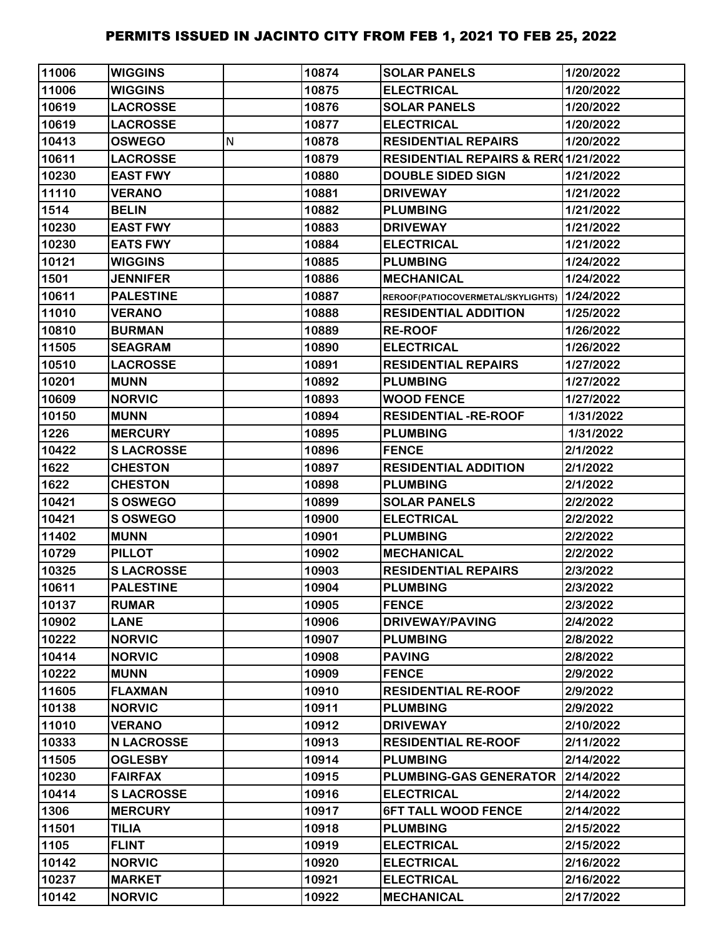| 11006 | <b>WIGGINS</b>    |   | 10874 | <b>SOLAR PANELS</b>                            | 1/20/2022 |
|-------|-------------------|---|-------|------------------------------------------------|-----------|
| 11006 | <b>WIGGINS</b>    |   | 10875 | <b>ELECTRICAL</b>                              | 1/20/2022 |
| 10619 | <b>LACROSSE</b>   |   | 10876 | <b>SOLAR PANELS</b>                            | 1/20/2022 |
| 10619 | <b>LACROSSE</b>   |   | 10877 | <b>ELECTRICAL</b>                              | 1/20/2022 |
| 10413 | <b>OSWEGO</b>     | N | 10878 | <b>RESIDENTIAL REPAIRS</b>                     | 1/20/2022 |
| 10611 | <b>LACROSSE</b>   |   | 10879 | <b>RESIDENTIAL REPAIRS &amp; RER01/21/2022</b> |           |
| 10230 | <b>EAST FWY</b>   |   | 10880 | <b>DOUBLE SIDED SIGN</b>                       | 1/21/2022 |
| 11110 | <b>VERANO</b>     |   | 10881 | <b>DRIVEWAY</b>                                | 1/21/2022 |
| 1514  | <b>BELIN</b>      |   | 10882 | <b>PLUMBING</b>                                | 1/21/2022 |
| 10230 | <b>EAST FWY</b>   |   | 10883 | <b>DRIVEWAY</b>                                | 1/21/2022 |
| 10230 | <b>EATS FWY</b>   |   | 10884 | <b>ELECTRICAL</b>                              | 1/21/2022 |
| 10121 | <b>WIGGINS</b>    |   | 10885 | <b>PLUMBING</b>                                | 1/24/2022 |
| 1501  | <b>JENNIFER</b>   |   | 10886 | <b>MECHANICAL</b>                              | 1/24/2022 |
| 10611 | <b>PALESTINE</b>  |   | 10887 | REROOF(PATIOCOVERMETAL/SKYLIGHTS) 1/24/2022    |           |
| 11010 | <b>VERANO</b>     |   | 10888 | <b>RESIDENTIAL ADDITION</b>                    | 1/25/2022 |
| 10810 | <b>BURMAN</b>     |   | 10889 | <b>RE-ROOF</b>                                 | 1/26/2022 |
| 11505 | <b>SEAGRAM</b>    |   | 10890 | <b>ELECTRICAL</b>                              | 1/26/2022 |
| 10510 | <b>LACROSSE</b>   |   | 10891 | <b>RESIDENTIAL REPAIRS</b>                     | 1/27/2022 |
| 10201 | <b>MUNN</b>       |   | 10892 | <b>PLUMBING</b>                                | 1/27/2022 |
| 10609 | <b>NORVIC</b>     |   | 10893 | <b>WOOD FENCE</b>                              | 1/27/2022 |
| 10150 | <b>MUNN</b>       |   | 10894 | <b>RESIDENTIAL -RE-ROOF</b>                    | 1/31/2022 |
| 1226  | <b>MERCURY</b>    |   | 10895 | <b>PLUMBING</b>                                | 1/31/2022 |
| 10422 | <b>SLACROSSE</b>  |   | 10896 | <b>FENCE</b>                                   | 2/1/2022  |
| 1622  | <b>CHESTON</b>    |   | 10897 | <b>RESIDENTIAL ADDITION</b>                    | 2/1/2022  |
| 1622  | <b>CHESTON</b>    |   | 10898 | <b>PLUMBING</b>                                | 2/1/2022  |
| 10421 | S OSWEGO          |   | 10899 | <b>SOLAR PANELS</b>                            | 2/2/2022  |
| 10421 | S OSWEGO          |   | 10900 | <b>ELECTRICAL</b>                              | 2/2/2022  |
| 11402 | <b>MUNN</b>       |   | 10901 | <b>PLUMBING</b>                                | 2/2/2022  |
| 10729 | <b>PILLOT</b>     |   | 10902 | <b>MECHANICAL</b>                              | 2/2/2022  |
| 10325 | <b>SLACROSSE</b>  |   | 10903 | <b>RESIDENTIAL REPAIRS</b>                     | 2/3/2022  |
| 10611 | <b>PALESTINE</b>  |   | 10904 | <b>PLUMBING</b>                                | 2/3/2022  |
| 10137 | <b>RUMAR</b>      |   | 10905 | <b>FENCE</b>                                   | 2/3/2022  |
| 10902 | <b>LANE</b>       |   | 10906 | <b>DRIVEWAY/PAVING</b>                         | 2/4/2022  |
| 10222 | <b>NORVIC</b>     |   | 10907 | <b>PLUMBING</b>                                | 2/8/2022  |
| 10414 | <b>NORVIC</b>     |   | 10908 | <b>PAVING</b>                                  | 2/8/2022  |
| 10222 | <b>MUNN</b>       |   | 10909 | <b>FENCE</b>                                   | 2/9/2022  |
| 11605 | <b>FLAXMAN</b>    |   | 10910 | <b>RESIDENTIAL RE-ROOF</b>                     | 2/9/2022  |
| 10138 | <b>NORVIC</b>     |   | 10911 | <b>PLUMBING</b>                                | 2/9/2022  |
| 11010 | <b>VERANO</b>     |   | 10912 | <b>DRIVEWAY</b>                                | 2/10/2022 |
| 10333 | <b>N LACROSSE</b> |   | 10913 | <b>RESIDENTIAL RE-ROOF</b>                     | 2/11/2022 |
| 11505 | <b>OGLESBY</b>    |   | 10914 | <b>PLUMBING</b>                                | 2/14/2022 |
| 10230 | <b>FAIRFAX</b>    |   | 10915 | PLUMBING-GAS GENERATOR                         | 2/14/2022 |
| 10414 | <b>SLACROSSE</b>  |   | 10916 | <b>ELECTRICAL</b>                              | 2/14/2022 |
| 1306  | <b>MERCURY</b>    |   | 10917 | <b>6FT TALL WOOD FENCE</b>                     | 2/14/2022 |
| 11501 | <b>TILIA</b>      |   | 10918 | <b>PLUMBING</b>                                | 2/15/2022 |
| 1105  | <b>FLINT</b>      |   | 10919 | <b>ELECTRICAL</b>                              | 2/15/2022 |
| 10142 | <b>NORVIC</b>     |   | 10920 | <b>ELECTRICAL</b>                              | 2/16/2022 |
| 10237 | <b>MARKET</b>     |   | 10921 | <b>ELECTRICAL</b>                              | 2/16/2022 |
| 10142 | <b>NORVIC</b>     |   | 10922 | <b>MECHANICAL</b>                              | 2/17/2022 |